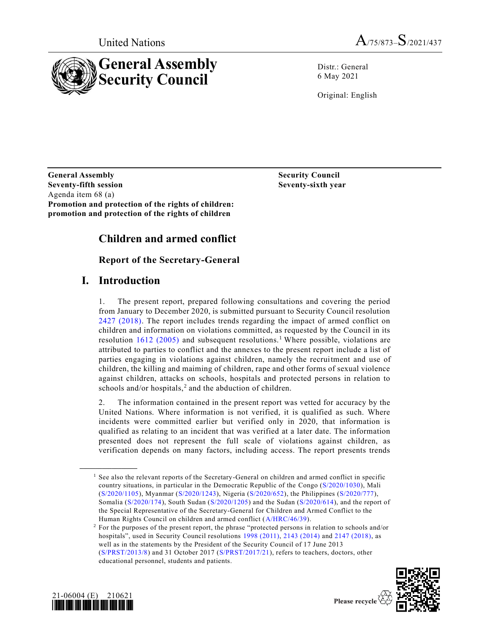



Distr.: General 6 May 2021

Original: English

**General Assembly Security Council Seventy-fifth session Seventy-sixth year** Agenda item 68 (a) **Promotion and protection of the rights of children: promotion and protection of the rights of children**

# **Children and armed conflict**

# **Report of the Secretary-General**

# **I. Introduction**

1. The present report, prepared following consultations and covering the period from January to December 2020, is submitted pursuant to Security Council resolution [2427 \(2018\).](https://undocs.org/en/S/RES/2427(2018)) The report includes trends regarding the impact of armed conflict on children and information on violations committed, as requested by the Council in its resolution  $1612$  (2005) and subsequent resolutions.<sup>1</sup> Where possible, violations are attributed to parties to conflict and the annexes to the present report include a list of parties engaging in violations against children, namely the recruitment and use of children, the killing and maiming of children, rape and other forms of sexual violence against children, attacks on schools, hospitals and protected persons in relation to schools and/or hospitals,<sup>2</sup> and the abduction of children.

2. The information contained in the present report was vetted for accuracy by the United Nations. Where information is not verified, it is qualified as such. Where incidents were committed earlier but verified only in 2020, that information is qualified as relating to an incident that was verified at a later date. The information presented does not represent the full scale of violations against children, as verification depends on many factors, including access. The report presents trends

<sup>&</sup>lt;sup>2</sup> For the purposes of the present report, the phrase "protected persons in relation to schools and/or hospitals", used in Security Council resolutions [1998 \(2011\),](https://undocs.org/en/S/RES/1998(2011)) [2143 \(2014\)](https://undocs.org/en/S/RES/2143(2014)) and [2147 \(2018\),](https://undocs.org/en/S/RES/2147(2018)) as well as in the statements by the President of the Security Council of 17 June 2013 [\(S/PRST/2013/8\)](https://undocs.org/en/S/PRST/2013/8) and 31 October 2017 [\(S/PRST/2017/21\)](https://undocs.org/en/S/PRST/2017/21), refers to teachers, doctors, other educational personnel, students and patients.





<sup>&</sup>lt;sup>1</sup> See also the relevant reports of the Secretary-General on children and armed conflict in specific country situations, in particular in the Democratic Republic of the Congo [\(S/2020/1030\)](https://undocs.org/en/S/2020/1030), Mali [\(S/2020/1105\)](https://undocs.org/en/S/2020/1105), Myanmar [\(S/2020/1243\)](https://undocs.org/en/S/2020/1243), Nigeria [\(S/2020/652\)](https://undocs.org/en/S/2020/652), the Philippines [\(S/2020/777\)](https://undocs.org/en/S/2020/777), Somalia [\(S/2020/174\)](https://undocs.org/en/S/2020/174), South Sudan [\(S/2020/1205\)](https://undocs.org/en/S/2020/1205) and the Sudan [\(S/2020/614\)](https://undocs.org/en/S/2020/614), and the report of the Special Representative of the Secretary-General for Children and Armed Conflict to the Human Rights Council on children and armed conflict [\(A/HRC/46/39\)](https://undocs.org/en/A/HRC/46/39).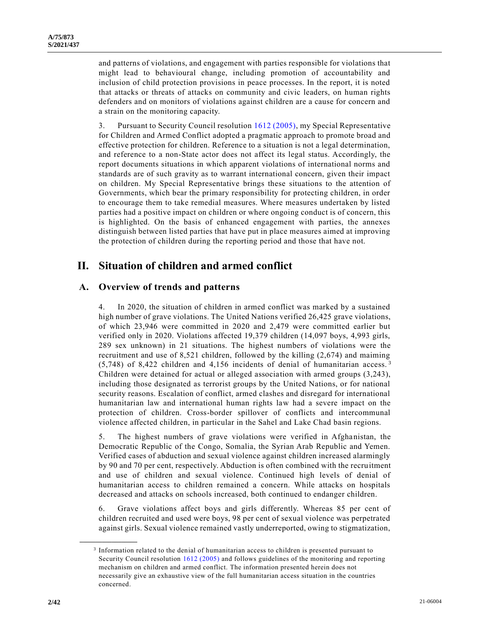and patterns of violations, and engagement with parties responsible for violations that might lead to behavioural change, including promotion of accountability and inclusion of child protection provisions in peace processes. In the report, it is noted that attacks or threats of attacks on community and civic leaders, on human rights defenders and on monitors of violations against children are a cause for concern and a strain on the monitoring capacity.

3. Pursuant to Security Council resolution [1612 \(2005\),](https://undocs.org/en/S/RES/1612(2005)) my Special Representative for Children and Armed Conflict adopted a pragmatic approach to promote broad and effective protection for children. Reference to a situation is not a legal determination, and reference to a non-State actor does not affect its legal status. Accordingly, the report documents situations in which apparent violations of international norms and standards are of such gravity as to warrant international concern, given their impact on children. My Special Representative brings these situations to the attention of Governments, which bear the primary responsibility for protecting children, in order to encourage them to take remedial measures. Where measures undertaken by listed parties had a positive impact on children or where ongoing conduct is of concern, this is highlighted. On the basis of enhanced engagement with parties, the annexes distinguish between listed parties that have put in place measures aimed at improving the protection of children during the reporting period and those that have not.

# **II. Situation of children and armed conflict**

# **A. Overview of trends and patterns**

4. In 2020, the situation of children in armed conflict was marked by a sustained high number of grave violations. The United Nations verified 26,425 grave violations, of which 23,946 were committed in 2020 and 2,479 were committed earlier but verified only in 2020. Violations affected 19,379 children (14,097 boys, 4,993 girls, 289 sex unknown) in 21 situations. The highest numbers of violations were the recruitment and use of 8,521 children, followed by the killing (2,674) and maiming (5,748) of 8,422 children and 4,156 incidents of denial of humanitarian access. <sup>3</sup> Children were detained for actual or alleged association with armed groups (3,243), including those designated as terrorist groups by the United Nations, or for national security reasons. Escalation of conflict, armed clashes and disregard for international humanitarian law and international human rights law had a severe impact on the protection of children. Cross-border spillover of conflicts and intercommunal violence affected children, in particular in the Sahel and Lake Chad basin regions.

5. The highest numbers of grave violations were verified in Afghanistan, the Democratic Republic of the Congo, Somalia, the Syrian Arab Republic and Yemen. Verified cases of abduction and sexual violence against children increased alarmingly by 90 and 70 per cent, respectively. Abduction is often combined with the recruitment and use of children and sexual violence. Continued high levels of denial of humanitarian access to children remained a concern. While attacks on hospitals decreased and attacks on schools increased, both continued to endanger children.

6. Grave violations affect boys and girls differently. Whereas 85 per cent of children recruited and used were boys, 98 per cent of sexual violence was perpetrated against girls. Sexual violence remained vastly underreported, owing to stigmatization,

<sup>&</sup>lt;sup>3</sup> Information related to the denial of humanitarian access to children is presented pursuant to Security Council resolution [1612 \(2005\)](https://undocs.org/en/S/RES/1612(2005)) and follows guidelines of the monitoring and reporting mechanism on children and armed conflict. The information presented herein does not necessarily give an exhaustive view of the full humanitarian access situation in the countries concerned.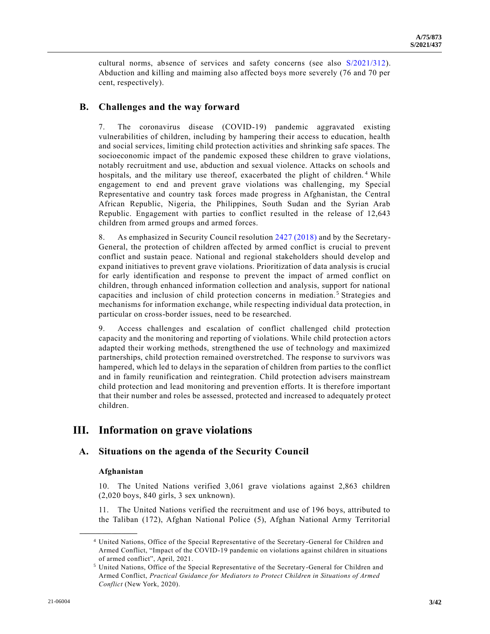cultural norms, absence of services and safety concerns (see also [S/2021/312\)](https://undocs.org/en/S/2021/312). Abduction and killing and maiming also affected boys more severely (76 and 70 per cent, respectively).

# **B. Challenges and the way forward**

7. The coronavirus disease (COVID-19) pandemic aggravated existing vulnerabilities of children, including by hampering their access to education, health and social services, limiting child protection activities and shrinking safe spaces. The socioeconomic impact of the pandemic exposed these children to grave violations, notably recruitment and use, abduction and sexual violence. Attacks on schools and hospitals, and the military use thereof, exacerbated the plight of children.<sup>4</sup> While engagement to end and prevent grave violations was challenging, my Special Representative and country task forces made progress in Afghanistan, the Central African Republic, Nigeria, the Philippines, South Sudan and the Syrian Arab Republic. Engagement with parties to conflict resulted in the release of 12,643 children from armed groups and armed forces.

8. As emphasized in Security Council resolution [2427 \(2018\)](https://undocs.org/en/S/RES/2427(2018)) and by the Secretary-General, the protection of children affected by armed conflict is crucial to prevent conflict and sustain peace. National and regional stakeholders should develop and expand initiatives to prevent grave violations. Prioritization of data analysis is crucial for early identification and response to prevent the impact of armed conflict on children, through enhanced information collection and analysis, support for national capacities and inclusion of child protection concerns in mediation. <sup>5</sup> Strategies and mechanisms for information exchange, while respecting individual data protection, in particular on cross-border issues, need to be researched.

9. Access challenges and escalation of conflict challenged child protection capacity and the monitoring and reporting of violations. While child protection a ctors adapted their working methods, strengthened the use of technology and maximized partnerships, child protection remained overstretched. The response to survivors was hampered, which led to delays in the separation of children from parties to the conflict and in family reunification and reintegration. Child protection advisers mainstream child protection and lead monitoring and prevention efforts. It is therefore important that their number and roles be assessed, protected and increased to adequately pr otect children.

# **III. Information on grave violations**

# **A. Situations on the agenda of the Security Council**

# **Afghanistan**

**\_\_\_\_\_\_\_\_\_\_\_\_\_\_\_\_\_\_**

10. The United Nations verified 3,061 grave violations against 2,863 children (2,020 boys, 840 girls, 3 sex unknown).

11. The United Nations verified the recruitment and use of 196 boys, attributed to the Taliban (172), Afghan National Police (5), Afghan National Army Territorial

<sup>4</sup> United Nations, Office of the Special Representative of the Secretary-General for Children and Armed Conflict, "Impact of the COVID-19 pandemic on violations against children in situations of armed conflict", April, 2021.

<sup>5</sup> United Nations, Office of the Special Representative of the Secretary-General for Children and Armed Conflict, *Practical Guidance for Mediators to Protect Children in Situations of Armed Conflict* (New York, 2020).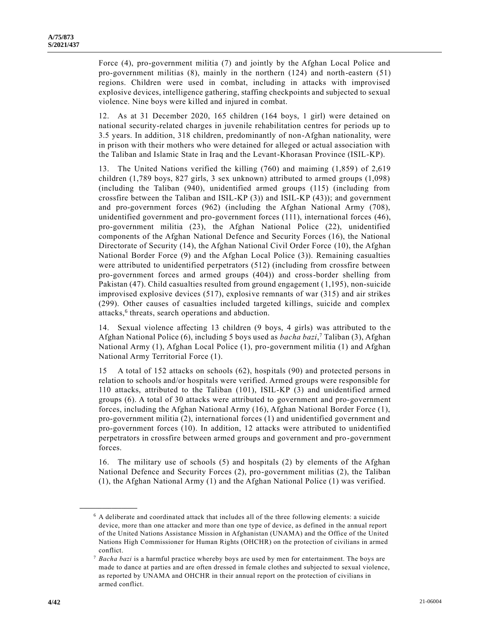Force (4), pro-government militia (7) and jointly by the Afghan Local Police and pro-government militias (8), mainly in the northern (124) and north-eastern (51) regions. Children were used in combat, including in attacks with improvised explosive devices, intelligence gathering, staffing checkpoints and subjected to sexual violence. Nine boys were killed and injured in combat.

12. As at 31 December 2020, 165 children (164 boys, 1 girl) were detained on national security-related charges in juvenile rehabilitation centres for periods up to 3.5 years. In addition, 318 children, predominantly of non-Afghan nationality, were in prison with their mothers who were detained for alleged or actual association with the Taliban and Islamic State in Iraq and the Levant-Khorasan Province (ISIL-KP).

13. The United Nations verified the killing (760) and maiming (1,859) of 2,619 children (1,789 boys, 827 girls, 3 sex unknown) attributed to armed groups (1,098) (including the Taliban (940), unidentified armed groups (115) (including from crossfire between the Taliban and ISIL-KP (3)) and ISIL-KP (43)); and government and pro-government forces (962) (including the Afghan National Army (708), unidentified government and pro-government forces (111), international forces (46), pro-government militia (23), the Afghan National Police (22), unidentified components of the Afghan National Defence and Security Forces (16), the National Directorate of Security (14), the Afghan National Civil Order Force (10), the Afghan National Border Force (9) and the Afghan Local Police (3)). Remaining casualties were attributed to unidentified perpetrators (512) (including from crossfire between pro-government forces and armed groups (404)) and cross-border shelling from Pakistan (47). Child casualties resulted from ground engagement (1,195), non-suicide improvised explosive devices (517), explosive remnants of war (315) and air strikes (299). Other causes of casualties included targeted killings, suicide and complex attacks,<sup>6</sup> threats, search operations and abduction.

14. Sexual violence affecting 13 children (9 boys, 4 girls) was attributed to the Afghan National Police (6), including 5 boys used as *bacha bazi*, <sup>7</sup> Taliban (3), Afghan National Army (1), Afghan Local Police (1), pro-government militia (1) and Afghan National Army Territorial Force (1).

15 A total of 152 attacks on schools (62), hospitals (90) and protected persons in relation to schools and/or hospitals were verified. Armed groups were responsible for 110 attacks, attributed to the Taliban (101), ISIL-KP (3) and unidentified armed groups (6). A total of 30 attacks were attributed to government and pro-government forces, including the Afghan National Army (16), Afghan National Border Force (1), pro-government militia (2), international forces (1) and unidentified government and pro-government forces (10). In addition, 12 attacks were attributed to unidentified perpetrators in crossfire between armed groups and government and pro-government forces.

16. The military use of schools (5) and hospitals (2) by elements of the Afghan National Defence and Security Forces (2), pro-government militias (2), the Taliban (1), the Afghan National Army (1) and the Afghan National Police (1) was verified.

<sup>6</sup> A deliberate and coordinated attack that includes all of the three following elements: a suicide device, more than one attacker and more than one type of device, as defined in the annual report of the United Nations Assistance Mission in Afghanistan (UNAMA) and the Office of the United Nations High Commissioner for Human Rights (OHCHR) on the protection of civilians in armed conflict.

<sup>7</sup> *Bacha bazi* is a harmful practice whereby boys are used by men for entertainment. The boys are made to dance at parties and are often dressed in female clothes and subjected to sexual violence, as reported by UNAMA and OHCHR in their annual report on the protection of civilians in armed conflict.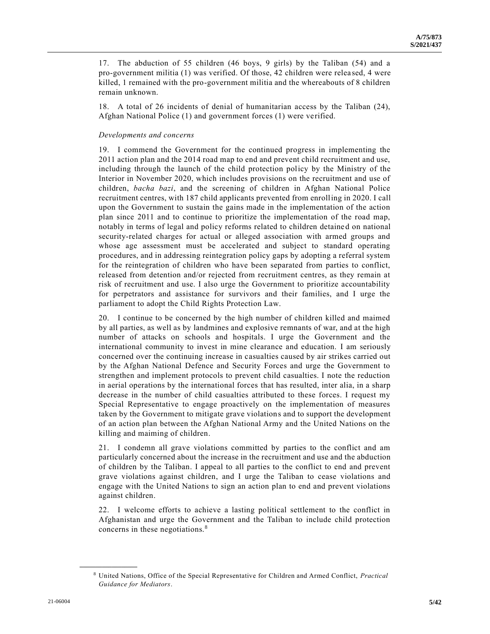17. The abduction of 55 children (46 boys, 9 girls) by the Taliban (54) and a pro-government militia (1) was verified. Of those, 42 children were relea sed, 4 were killed, 1 remained with the pro-government militia and the whereabouts of 8 children remain unknown.

18. A total of 26 incidents of denial of humanitarian access by the Taliban (24), Afghan National Police (1) and government forces (1) were verified.

# *Developments and concerns*

19. I commend the Government for the continued progress in implementing the 2011 action plan and the 2014 road map to end and prevent child recruitment and use, including through the launch of the child protection policy by the Ministry of the Interior in November 2020, which includes provisions on the recruitment and use of children, *bacha bazi*, and the screening of children in Afghan National Police recruitment centres, with 187 child applicants prevented from enrolling in 2020. I call upon the Government to sustain the gains made in the implementation of the action plan since 2011 and to continue to prioritize the implementation of the road map, notably in terms of legal and policy reforms related to children detained on national security-related charges for actual or alleged association with armed groups and whose age assessment must be accelerated and subject to standard operating procedures, and in addressing reintegration policy gaps by adopting a referral system for the reintegration of children who have been separated from parties to conflict, released from detention and/or rejected from recruitment centres, as they remain at risk of recruitment and use. I also urge the Government to prioritize accountability for perpetrators and assistance for survivors and their families, and I urge the parliament to adopt the Child Rights Protection Law.

20. I continue to be concerned by the high number of children killed and maimed by all parties, as well as by landmines and explosive remnants of war, and at the high number of attacks on schools and hospitals. I urge the Government and the international community to invest in mine clearance and education. I am seriously concerned over the continuing increase in casualties caused by air strikes carried out by the Afghan National Defence and Security Forces and urge the Government to strengthen and implement protocols to prevent child casualties. I note the reduction in aerial operations by the international forces that has resulted, inter alia, in a sharp decrease in the number of child casualties attributed to these forces. I request my Special Representative to engage proactively on the implementation of measures taken by the Government to mitigate grave violations and to support the development of an action plan between the Afghan National Army and the United Nations on the killing and maiming of children.

21. I condemn all grave violations committed by parties to the conflict and am particularly concerned about the increase in the recruitment and use and the abduction of children by the Taliban. I appeal to all parties to the conflict to end and prevent grave violations against children, and I urge the Taliban to cease violations and engage with the United Nations to sign an action plan to end and prevent violations against children.

22. I welcome efforts to achieve a lasting political settlement to the conflict in Afghanistan and urge the Government and the Taliban to include child protection concerns in these negotiations.<sup>8</sup>

<sup>8</sup> United Nations, Office of the Special Representative for Children and Armed Conflict, *Practical Guidance for Mediators*.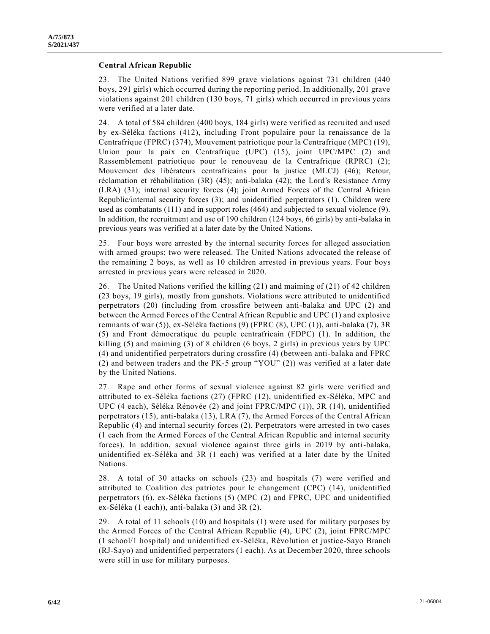# **Central African Republic**

23. The United Nations verified 899 grave violations against 731 children (440 boys, 291 girls) which occurred during the reporting period. In additionally, 201 grave violations against 201 children (130 boys, 71 girls) which occurred in previous years were verified at a later date.

24. A total of 584 children (400 boys, 184 girls) were verified as recruited and used by ex-Séléka factions (412), including Front populaire pour la renaissance de la Centrafrique (FPRC) (374), Mouvement patriotique pour la Centrafrique (MPC) (19), Union pour la paix en Centrafrique (UPC) (15), joint UPC/MPC (2) and Rassemblement patriotique pour le renouveau de la Centrafrique (RPRC) (2); Mouvement des libérateurs centrafricains pour la justice (MLCJ) (46); Retour, réclamation et réhabilitation (3R) (45); anti-balaka (42); the Lord's Resistance Army (LRA) (31); internal security forces (4); joint Armed Forces of the Central African Republic/internal security forces (3); and unidentified perpetrators (1). Children were used as combatants (111) and in support roles (464) and subjected to sexual violence (9). In addition, the recruitment and use of 190 children (124 boys, 66 girls) by anti-balaka in previous years was verified at a later date by the United Nations.

25. Four boys were arrested by the internal security forces for alleged association with armed groups; two were released. The United Nations advocated the release of the remaining 2 boys, as well as 10 children arrested in previous years. Four boys arrested in previous years were released in 2020.

26. The United Nations verified the killing (21) and maiming of (21) of 42 children (23 boys, 19 girls), mostly from gunshots. Violations were attributed to unidentified perpetrators (20) (including from crossfire between anti-balaka and UPC (2) and between the Armed Forces of the Central African Republic and UPC (1) and explosive remnants of war (5)), ex-Séléka factions (9) (FPRC (8), UPC (1)), anti-balaka (7), 3R (5) and Front démocratique du peuple centrafricain (FDPC) (1). In addition, the killing (5) and maiming (3) of 8 children (6 boys, 2 girls) in previous years by UPC (4) and unidentified perpetrators during crossfire (4) (between anti-balaka and FPRC (2) and between traders and the PK-5 group "YOU" (2)) was verified at a later date by the United Nations.

27. Rape and other forms of sexual violence against 82 girls were verified and attributed to ex-Séléka factions (27) (FPRC (12), unidentified ex-Séléka, MPC and UPC (4 each), Séléka Rénovée (2) and joint FPRC/MPC (1)), 3R (14), unidentified perpetrators (15), anti-balaka (13), LRA (7), the Armed Forces of the Central African Republic (4) and internal security forces (2). Perpetrators were arrested in two cases (1 each from the Armed Forces of the Central African Republic and internal security forces). In addition, sexual violence against three girls in 2019 by anti-balaka, unidentified ex-Séléka and 3R (1 each) was verified at a later date by the United Nations.

28. A total of 30 attacks on schools (23) and hospitals (7) were verified and attributed to Coalition des patriotes pour le changement (CPC) (14), unidentified perpetrators (6), ex-Séléka factions (5) (MPC (2) and FPRC, UPC and unidentified ex-Séléka (1 each)), anti-balaka (3) and 3R (2).

29. A total of 11 schools (10) and hospitals (1) were used for military purposes by the Armed Forces of the Central African Republic (4), UPC (2), joint FPRC/MPC (1 school/1 hospital) and unidentified ex-Séléka, Révolution et justice-Sayo Branch (RJ-Sayo) and unidentified perpetrators (1 each). As at December 2020, three schools were still in use for military purposes.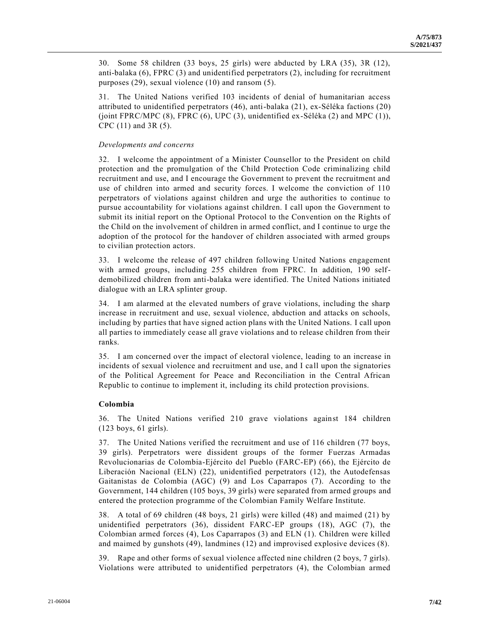30. Some 58 children (33 boys, 25 girls) were abducted by LRA (35), 3R (12), anti-balaka (6), FPRC (3) and unidentified perpetrators (2), including for recruitment purposes (29), sexual violence (10) and ransom (5).

31. The United Nations verified 103 incidents of denial of humanitarian access attributed to unidentified perpetrators (46), anti-balaka (21), ex-Séléka factions (20) (joint FPRC/MPC  $(8)$ , FPRC  $(6)$ , UPC  $(3)$ , unidentified ex-Séléka  $(2)$  and MPC  $(1)$ ), CPC (11) and 3R (5).

# *Developments and concerns*

32. I welcome the appointment of a Minister Counsellor to the President on child protection and the promulgation of the Child Protection Code criminalizing child recruitment and use, and I encourage the Government to prevent the recruitment and use of children into armed and security forces. I welcome the conviction of 110 perpetrators of violations against children and urge the authorities to continue to pursue accountability for violations against children. I call upon the Government to submit its initial report on the Optional Protocol to the Convention on the Rights of the Child on the involvement of children in armed conflict, and I continue to urge the adoption of the protocol for the handover of children associated with armed groups to civilian protection actors.

33. I welcome the release of 497 children following United Nations engagement with armed groups, including 255 children from FPRC. In addition, 190 selfdemobilized children from anti-balaka were identified. The United Nations initiated dialogue with an LRA splinter group.

34. I am alarmed at the elevated numbers of grave violations, including the sharp increase in recruitment and use, sexual violence, abduction and attacks on schools, including by parties that have signed action plans with the United Nations. I call upon all parties to immediately cease all grave violations and to release children from their ranks.

35. I am concerned over the impact of electoral violence, leading to an increase in incidents of sexual violence and recruitment and use, and I call upon the signatories of the Political Agreement for Peace and Reconciliation in the Central African Republic to continue to implement it, including its child protection provisions.

# **Colombia**

36. The United Nations verified 210 grave violations against 184 children (123 boys, 61 girls).

37. The United Nations verified the recruitment and use of 116 children (77 boys, 39 girls). Perpetrators were dissident groups of the former Fuerzas Armadas Revolucionarias de Colombia-Ejército del Pueblo (FARC-EP) (66), the Ejército de Liberación Nacional (ELN) (22), unidentified perpetrators (12), the Autodefensas Gaitanistas de Colombia (AGC) (9) and Los Caparrapos (7). According to the Government, 144 children (105 boys, 39 girls) were separated from armed groups and entered the protection programme of the Colombian Family Welfare Institute.

38. A total of 69 children (48 boys, 21 girls) were killed (48) and maimed (21) by unidentified perpetrators (36), dissident FARC-EP groups (18), AGC (7), the Colombian armed forces (4), Los Caparrapos (3) and ELN (1). Children were killed and maimed by gunshots (49), landmines (12) and improvised explosive devices (8).

39. Rape and other forms of sexual violence affected nine children (2 boys, 7 girls). Violations were attributed to unidentified perpetrators (4), the Colombian armed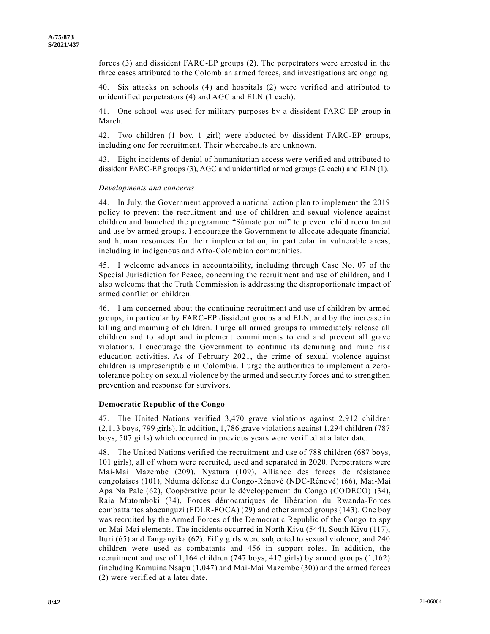forces (3) and dissident FARC-EP groups (2). The perpetrators were arrested in the three cases attributed to the Colombian armed forces, and investigations are ongoing.

40. Six attacks on schools (4) and hospitals (2) were verified and attributed to unidentified perpetrators (4) and AGC and ELN (1 each).

41. One school was used for military purposes by a dissident FARC-EP group in March.

42. Two children (1 boy, 1 girl) were abducted by dissident FARC-EP groups, including one for recruitment. Their whereabouts are unknown.

43. Eight incidents of denial of humanitarian access were verified and attributed to dissident FARC-EP groups (3), AGC and unidentified armed groups (2 each) and ELN (1).

#### *Developments and concerns*

44. In July, the Government approved a national action plan to implement the 2019 policy to prevent the recruitment and use of children and sexual violence against children and launched the programme "Súmate por mí" to prevent child recruitment and use by armed groups. I encourage the Government to allocate adequate financial and human resources for their implementation, in particular in vulnerable areas, including in indigenous and Afro-Colombian communities.

45. I welcome advances in accountability, including through Case No. 07 of the Special Jurisdiction for Peace, concerning the recruitment and use of children, and I also welcome that the Truth Commission is addressing the disproportionate impact of armed conflict on children.

46. I am concerned about the continuing recruitment and use of children by armed groups, in particular by FARC-EP dissident groups and ELN, and by the increase in killing and maiming of children. I urge all armed groups to immediately release all children and to adopt and implement commitments to end and prevent all grave violations. I encourage the Government to continue its demining and mine risk education activities. As of February 2021, the crime of sexual violence against children is imprescriptible in Colombia. I urge the authorities to implement a zerotolerance policy on sexual violence by the armed and security forces and to strengthen prevention and response for survivors.

#### **Democratic Republic of the Congo**

47. The United Nations verified 3,470 grave violations against 2,912 children (2,113 boys, 799 girls). In addition, 1,786 grave violations against 1,294 children (787 boys, 507 girls) which occurred in previous years were verified at a later date.

48. The United Nations verified the recruitment and use of 788 children (687 boys, 101 girls), all of whom were recruited, used and separated in 2020. Perpetrators were Mai-Mai Mazembe (209), Nyatura (109), Alliance des forces de résistance congolaises (101), Nduma défense du Congo-Rénové (NDC-Rénové) (66), Mai-Mai Apa Na Pale (62), Coopérative pour le développement du Congo (CODECO) (34), Raia Mutomboki (34), Forces démocratiques de libération du Rwanda-Forces combattantes abacunguzi (FDLR-FOCA) (29) and other armed groups (143). One boy was recruited by the Armed Forces of the Democratic Republic of the Congo to spy on Mai-Mai elements. The incidents occurred in North Kivu (544), South Kivu (117), Ituri (65) and Tanganyika (62). Fifty girls were subjected to sexual violence, and 240 children were used as combatants and 456 in support roles. In addition, the recruitment and use of 1,164 children (747 boys, 417 girls) by armed groups (1,162) (including Kamuina Nsapu (1,047) and Mai-Mai Mazembe (30)) and the armed forces (2) were verified at a later date.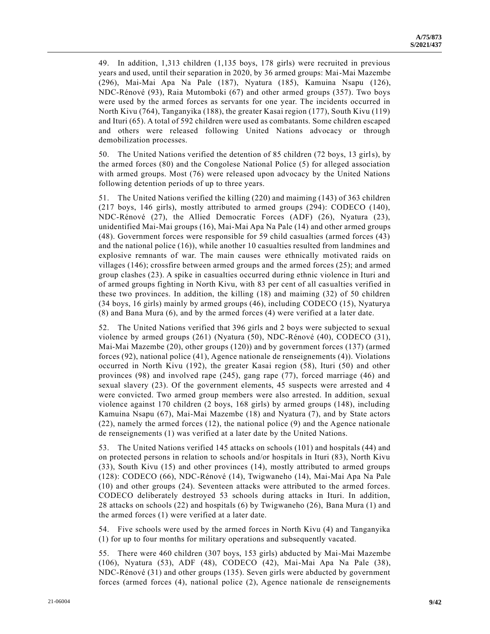49. In addition, 1,313 children (1,135 boys, 178 girls) were recruited in previous years and used, until their separation in 2020, by 36 armed groups: Mai-Mai Mazembe (296), Mai-Mai Apa Na Pale (187), Nyatura (185), Kamuina Nsapu (126), NDC-Rénové (93), Raia Mutomboki (67) and other armed groups (357). Two boys were used by the armed forces as servants for one year. The incidents occurred in North Kivu (764), Tanganyika (188), the greater Kasai region (177), South Kivu (119) and Ituri (65). A total of 592 children were used as combatants. Some children escaped and others were released following United Nations advocacy or through demobilization processes.

50. The United Nations verified the detention of 85 children (72 boys, 13 girls), by the armed forces (80) and the Congolese National Police (5) for alleged association with armed groups. Most (76) were released upon advocacy by the United Nations following detention periods of up to three years.

51. The United Nations verified the killing (220) and maiming (143) of 363 children (217 boys, 146 girls), mostly attributed to armed groups (294): CODECO (140), NDC-Rénové (27), the Allied Democratic Forces (ADF) (26), Nyatura (23), unidentified Mai-Mai groups (16), Mai-Mai Apa Na Pale (14) and other armed groups (48). Government forces were responsible for 59 child casualties (armed forces (43) and the national police (16)), while another 10 casualties resulted from landmines and explosive remnants of war. The main causes were ethnically motivated raids on villages (146); crossfire between armed groups and the armed forces (25); and armed group clashes (23). A spike in casualties occurred during ethnic violence in Ituri and of armed groups fighting in North Kivu, with 83 per cent of all casualties verified in these two provinces. In addition, the killing (18) and maiming (32) of 50 children (34 boys, 16 girls) mainly by armed groups (46), including CODECO (15), Nyaturya (8) and Bana Mura (6), and by the armed forces (4) were verified at a la ter date.

52. The United Nations verified that 396 girls and 2 boys were subjected to sexual violence by armed groups (261) (Nyatura (50), NDC-Rénové (40), CODECO (31), Mai-Mai Mazembe (20), other groups (120)) and by government forces (137) (armed forces (92), national police (41), Agence nationale de renseignements (4)). Violations occurred in North Kivu (192), the greater Kasai region (58), Ituri (50) and other provinces (98) and involved rape (245), gang rape (77), forced marriage (46) and sexual slavery (23). Of the government elements, 45 suspects were arrested and 4 were convicted. Two armed group members were also arrested. In addition, sexual violence against 170 children (2 boys, 168 girls) by armed groups (148), including Kamuina Nsapu (67), Mai-Mai Mazembe (18) and Nyatura (7), and by State actors (22), namely the armed forces (12), the national police (9) and the Agence nationale de renseignements (1) was verified at a later date by the United Nations.

53. The United Nations verified 145 attacks on schools (101) and hospitals (44) and on protected persons in relation to schools and/or hospitals in Ituri (83), North Kivu (33), South Kivu (15) and other provinces (14), mostly attributed to armed groups (128): CODECO (66), NDC-Rénové (14), Twigwaneho (14), Mai-Mai Apa Na Pale (10) and other groups (24). Seventeen attacks were attributed to the armed forces. CODECO deliberately destroyed 53 schools during attacks in Ituri. In addition, 28 attacks on schools (22) and hospitals (6) by Twigwaneho (26), Bana Mura (1) and the armed forces (1) were verified at a later date.

54. Five schools were used by the armed forces in North Kivu (4) and Tanganyika (1) for up to four months for military operations and subsequently vacated.

55. There were 460 children (307 boys, 153 girls) abducted by Mai-Mai Mazembe (106), Nyatura (53), ADF (48), CODECO (42), Mai-Mai Apa Na Pale (38), NDC-Rénové (31) and other groups (135). Seven girls were abducted by government forces (armed forces (4), national police (2), Agence nationale de renseignements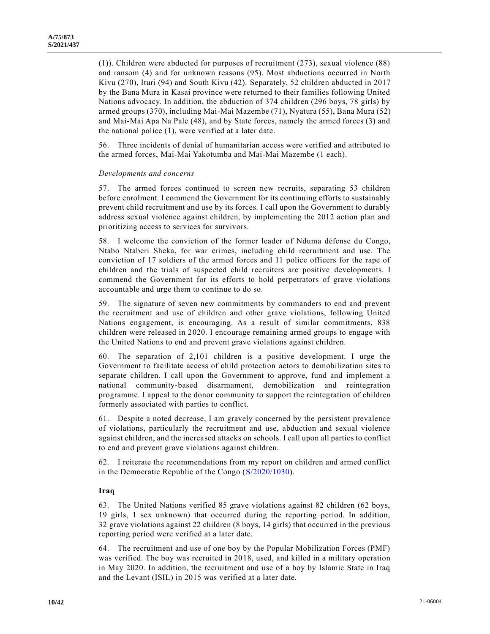(1)). Children were abducted for purposes of recruitment (273), sexual violence (88) and ransom (4) and for unknown reasons (95). Most abductions occurred in North Kivu (270), Ituri (94) and South Kivu (42). Separately, 52 children abducted in 2017 by the Bana Mura in Kasai province were returned to their families following United Nations advocacy. In addition, the abduction of 374 children (296 boys, 78 girls) by armed groups (370), including Mai-Mai Mazembe (71), Nyatura (55), Bana Mura (52) and Mai-Mai Apa Na Pale (48), and by State forces, namely the armed forces (3) and the national police (1), were verified at a later date.

56. Three incidents of denial of humanitarian access were verified and attributed to the armed forces, Mai-Mai Yakotumba and Mai-Mai Mazembe (1 each).

#### *Developments and concerns*

57. The armed forces continued to screen new recruits, separating 53 children before enrolment. I commend the Government for its continuing efforts to sustainably prevent child recruitment and use by its forces. I call upon the Government to durably address sexual violence against children, by implementing the 2012 action plan and prioritizing access to services for survivors.

58. I welcome the conviction of the former leader of Nduma défense du Congo, Ntabo Ntaberi Sheka, for war crimes, including child recruitment and use. The conviction of 17 soldiers of the armed forces and 11 police officers for the rape of children and the trials of suspected child recruiters are positive developments. I commend the Government for its efforts to hold perpetrators of grave violations accountable and urge them to continue to do so.

59. The signature of seven new commitments by commanders to end and prevent the recruitment and use of children and other grave violations, following United Nations engagement, is encouraging. As a result of similar commitments, 838 children were released in 2020. I encourage remaining armed groups to engage with the United Nations to end and prevent grave violations against children.

60. The separation of 2,101 children is a positive development. I urge the Government to facilitate access of child protection actors to demobilization sites to separate children. I call upon the Government to approve, fund and implement a national community-based disarmament, demobilization and reintegration programme. I appeal to the donor community to support the reintegration of children formerly associated with parties to conflict.

61. Despite a noted decrease, I am gravely concerned by the persistent prevalence of violations, particularly the recruitment and use, abduction and sexual violence against children, and the increased attacks on schools. I call upon all parties to conflict to end and prevent grave violations against children.

62. I reiterate the recommendations from my report on children and armed conflict in the Democratic Republic of the Congo [\(S/2020/1030\)](https://undocs.org/en/S/2020/1030).

## **Iraq**

63. The United Nations verified 85 grave violations against 82 children (62 boys, 19 girls, 1 sex unknown) that occurred during the reporting period. In addition, 32 grave violations against 22 children (8 boys, 14 girls) that occurred in the previous reporting period were verified at a later date.

64. The recruitment and use of one boy by the Popular Mobilization Forces (PMF) was verified. The boy was recruited in 2018, used, and killed in a military operation in May 2020. In addition, the recruitment and use of a boy by Islamic State in Iraq and the Levant (ISIL) in 2015 was verified at a later date.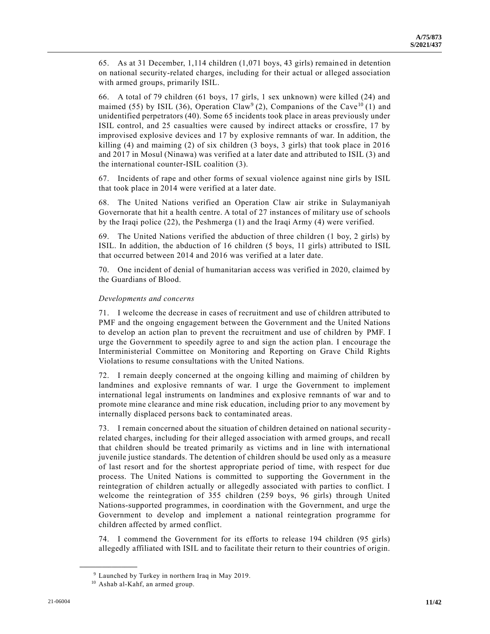65. As at 31 December, 1,114 children (1,071 boys, 43 girls) remained in detention on national security-related charges, including for their actual or alleged association with armed groups, primarily ISIL.

66. A total of 79 children (61 boys, 17 girls, 1 sex unknown) were killed (24) and maimed (55) by ISIL (36), Operation Claw<sup>9</sup> (2), Companions of the Cave<sup>10</sup> (1) and unidentified perpetrators (40). Some 65 incidents took place in areas previously under ISIL control, and 25 casualties were caused by indirect attacks or crossfire, 17 by improvised explosive devices and 17 by explosive remnants of war. In addition, the killing (4) and maiming (2) of six children (3 boys, 3 girls) that took place in 2016 and 2017 in Mosul (Ninawa) was verified at a later date and attributed to ISIL (3) and the international counter-ISIL coalition (3).

67. Incidents of rape and other forms of sexual violence against nine girls by ISIL that took place in 2014 were verified at a later date.

68. The United Nations verified an Operation Claw air strike in Sulaymaniyah Governorate that hit a health centre. A total of 27 instances of military use of schools by the Iraqi police (22), the Peshmerga (1) and the Iraqi Army (4) were verified.

69. The United Nations verified the abduction of three children (1 boy, 2 girls) by ISIL. In addition, the abduction of 16 children (5 boys, 11 girls) attributed to ISIL that occurred between 2014 and 2016 was verified at a later date.

70. One incident of denial of humanitarian access was verified in 2020, claimed by the Guardians of Blood.

# *Developments and concerns*

71. I welcome the decrease in cases of recruitment and use of children attributed to PMF and the ongoing engagement between the Government and the United Nations to develop an action plan to prevent the recruitment and use of children by PMF. I urge the Government to speedily agree to and sign the action plan. I encourage the Interministerial Committee on Monitoring and Reporting on Grave Child Rights Violations to resume consultations with the United Nations.

72. I remain deeply concerned at the ongoing killing and maiming of children by landmines and explosive remnants of war. I urge the Government to implement international legal instruments on landmines and explosive remnants of war and to promote mine clearance and mine risk education, including prior to any movement by internally displaced persons back to contaminated areas.

73. I remain concerned about the situation of children detained on national security related charges, including for their alleged association with armed groups, and recall that children should be treated primarily as victims and in line with international juvenile justice standards. The detention of children should be used only as a measure of last resort and for the shortest appropriate period of time, with respect for due process. The United Nations is committed to supporting the Government in the reintegration of children actually or allegedly associated with parties to conflict. I welcome the reintegration of 355 children (259 boys, 96 girls) through United Nations-supported programmes, in coordination with the Government, and urge the Government to develop and implement a national reintegration programme for children affected by armed conflict.

74. I commend the Government for its efforts to release 194 children (95 girls) allegedly affiliated with ISIL and to facilitate their return to their countries of origin.

<sup>9</sup> Launched by Turkey in northern Iraq in May 2019.

<sup>10</sup> Ashab al-Kahf, an armed group.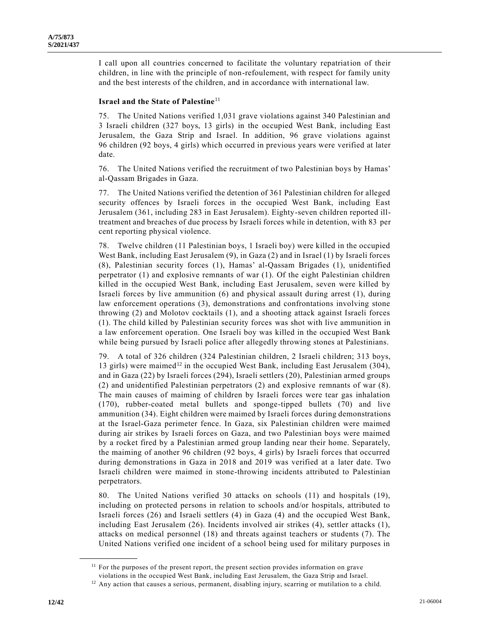I call upon all countries concerned to facilitate the voluntary repatriation of their children, in line with the principle of non-refoulement, with respect for family unity and the best interests of the children, and in accordance with international law.

# **Israel and the State of Palestine**<sup>11</sup>

75. The United Nations verified 1,031 grave violations against 340 Palestinian and 3 Israeli children (327 boys, 13 girls) in the occupied West Bank, including East Jerusalem, the Gaza Strip and Israel. In addition, 96 grave violations against 96 children (92 boys, 4 girls) which occurred in previous years were verified at later date.

76. The United Nations verified the recruitment of two Palestinian boys by Hamas' al-Qassam Brigades in Gaza.

77. The United Nations verified the detention of 361 Palestinian children for alleged security offences by Israeli forces in the occupied West Bank, including East Jerusalem (361, including 283 in East Jerusalem). Eighty-seven children reported illtreatment and breaches of due process by Israeli forces while in detention, with 83 per cent reporting physical violence.

78. Twelve children (11 Palestinian boys, 1 Israeli boy) were killed in the occupied West Bank, including East Jerusalem (9), in Gaza (2) and in Israel (1) by Israeli forces (8), Palestinian security forces (1), Hamas' al-Qassam Brigades (1), unidentified perpetrator (1) and explosive remnants of war (1). Of the eight Palestinian children killed in the occupied West Bank, including East Jerusalem, seven were killed by Israeli forces by live ammunition (6) and physical assault during arrest (1), during law enforcement operations (3), demonstrations and confrontations involving stone throwing (2) and Molotov cocktails (1), and a shooting attack against Israeli forces (1). The child killed by Palestinian security forces was shot with live ammunition in a law enforcement operation. One Israeli boy was killed in the occupied West Bank while being pursued by Israeli police after allegedly throwing stones at Palestinians.

79. A total of 326 children (324 Palestinian children, 2 Israeli children; 313 boys, 13 girls) were maimed<sup>12</sup> in the occupied West Bank, including East Jerusalem (304), and in Gaza (22) by Israeli forces (294), Israeli settlers (20), Palestinian armed groups (2) and unidentified Palestinian perpetrators (2) and explosive remnants of war (8). The main causes of maiming of children by Israeli forces were tear gas inhalation (170), rubber-coated metal bullets and sponge-tipped bullets (70) and live ammunition (34). Eight children were maimed by Israeli forces during demonstrations at the Israel-Gaza perimeter fence. In Gaza, six Palestinian children were maimed during air strikes by Israeli forces on Gaza, and two Palestinian boys were maimed by a rocket fired by a Palestinian armed group landing near their home. Separately, the maiming of another 96 children (92 boys, 4 girls) by Israeli forces that occurred during demonstrations in Gaza in 2018 and 2019 was verified at a later date. Two Israeli children were maimed in stone-throwing incidents attributed to Palestinian perpetrators.

80. The United Nations verified 30 attacks on schools (11) and hospitals (19), including on protected persons in relation to schools and/or hospitals, attributed to Israeli forces (26) and Israeli settlers (4) in Gaza (4) and the occupied West Bank, including East Jerusalem (26). Incidents involved air strikes (4), settler attacks (1), attacks on medical personnel (18) and threats against teachers or students (7). The United Nations verified one incident of a school being used for military purposes in

<sup>&</sup>lt;sup>11</sup> For the purposes of the present report, the present section provides information on grave violations in the occupied West Bank, including East Jerusalem, the Gaza Strip and Israel.

<sup>&</sup>lt;sup>12</sup> Any action that causes a serious, permanent, disabling injury, scarring or mutilation to a child.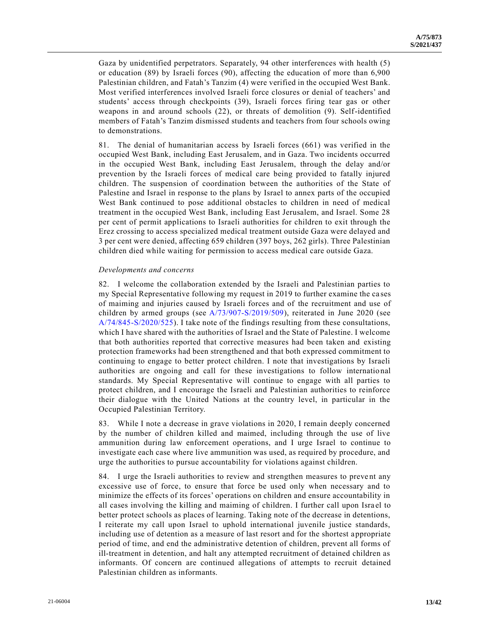Gaza by unidentified perpetrators. Separately, 94 other interferences with health (5) or education (89) by Israeli forces (90), affecting the education of more than 6,900 Palestinian children, and Fatah's Tanzim (4) were verified in the occupied West Bank. Most verified interferences involved Israeli force closures or denial of teachers' and students' access through checkpoints (39), Israeli forces firing tear gas or other weapons in and around schools (22), or threats of demolition (9). Self-identified members of Fatah's Tanzim dismissed students and teachers from four schools owing to demonstrations.

81. The denial of humanitarian access by Israeli forces (661) was verified in the occupied West Bank, including East Jerusalem, and in Gaza. Two incidents occurred in the occupied West Bank, including East Jerusalem, through the delay and/or prevention by the Israeli forces of medical care being provided to fatally injured children. The suspension of coordination between the authorities of the State of Palestine and Israel in response to the plans by Israel to annex parts of the occupied West Bank continued to pose additional obstacles to children in need of medical treatment in the occupied West Bank, including East Jerusalem, and Israel. Some 28 per cent of permit applications to Israeli authorities for children to exit through the Erez crossing to access specialized medical treatment outside Gaza were delayed and 3 per cent were denied, affecting 659 children (397 boys, 262 girls). Three Palestinian children died while waiting for permission to access medical care outside Gaza.

#### *Developments and concerns*

82. I welcome the collaboration extended by the Israeli and Palestinian parties to my Special Representative following my request in 2019 to further examine the ca ses of maiming and injuries caused by Israeli forces and of the recruitment and use of children by armed groups (see [A/73/907-S/2019/509\)](https://undocs.org/en/A/73/907), reiterated in June 2020 (see [A/74/845-S/2020/525\)](https://undocs.org/en/A/74/845). I take note of the findings resulting from these consultations, which I have shared with the authorities of Israel and the State of Palestine. I welcome that both authorities reported that corrective measures had been taken and existing protection frameworks had been strengthened and that both expressed commitment to continuing to engage to better protect children. I note that investigations by Israeli authorities are ongoing and call for these investigations to follow internatio nal standards. My Special Representative will continue to engage with all parties to protect children, and I encourage the Israeli and Palestinian authorities to reinforce their dialogue with the United Nations at the country level, in particular in the Occupied Palestinian Territory.

83. While I note a decrease in grave violations in 2020, I remain deeply concerned by the number of children killed and maimed, including through the use of live ammunition during law enforcement operations, and I urge Israel to continue to investigate each case where live ammunition was used, as required by procedure, and urge the authorities to pursue accountability for violations against children.

84. I urge the Israeli authorities to review and strengthen measures to prevent any excessive use of force, to ensure that force be used only when necessary and to minimize the effects of its forces' operations on children and ensure accountability in all cases involving the killing and maiming of children. I further call upon Isra el to better protect schools as places of learning. Taking note of the decrease in detentions, I reiterate my call upon Israel to uphold international juvenile justice standards, including use of detention as a measure of last resort and for the shortest appropriate period of time, and end the administrative detention of children, prevent all forms of ill-treatment in detention, and halt any attempted recruitment of detained children as informants. Of concern are continued allegations of attempts to recruit detained Palestinian children as informants.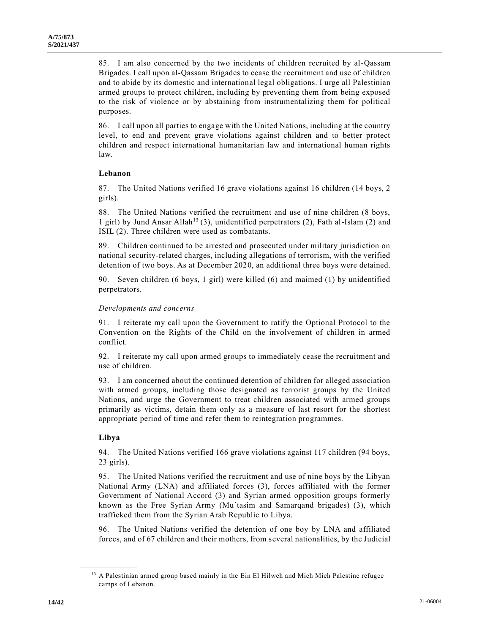85. I am also concerned by the two incidents of children recruited by al-Qassam Brigades. I call upon al-Qassam Brigades to cease the recruitment and use of children and to abide by its domestic and international legal obligations. I urge all Palestinian armed groups to protect children, including by preventing them from being exposed to the risk of violence or by abstaining from instrumentalizing them for political purposes.

86. I call upon all parties to engage with the United Nations, including at the country level, to end and prevent grave violations against children and to better protect children and respect international humanitarian law and international human rights law.

# **Lebanon**

87. The United Nations verified 16 grave violations against 16 children (14 boys, 2 girls).

88. The United Nations verified the recruitment and use of nine children (8 boys, 1 girl) by Jund Ansar Allah<sup>13</sup> (3), unidentified perpetrators (2), Fath al-Islam (2) and ISIL (2). Three children were used as combatants.

89. Children continued to be arrested and prosecuted under military jurisdiction on national security-related charges, including allegations of terrorism, with the verified detention of two boys. As at December 2020, an additional three boys were detained.

90. Seven children (6 boys, 1 girl) were killed (6) and maimed (1) by unidentified perpetrators.

# *Developments and concerns*

91. I reiterate my call upon the Government to ratify the Optional Protocol to the Convention on the Rights of the Child on the involvement of children in armed conflict.

92. I reiterate my call upon armed groups to immediately cease the recruitment and use of children.

93. I am concerned about the continued detention of children for alleged association with armed groups, including those designated as terrorist groups by the United Nations, and urge the Government to treat children associated with armed groups primarily as victims, detain them only as a measure of last resort for the shortest appropriate period of time and refer them to reintegration programmes.

# **Libya**

**\_\_\_\_\_\_\_\_\_\_\_\_\_\_\_\_\_\_**

94. The United Nations verified 166 grave violations against 117 children (94 boys, 23 girls).

95. The United Nations verified the recruitment and use of nine boys by the Libyan National Army (LNA) and affiliated forces (3), forces affiliated with the former Government of National Accord (3) and Syrian armed opposition groups formerly known as the Free Syrian Army (Muʿtasim and Samarqand brigades) (3), which trafficked them from the Syrian Arab Republic to Libya.

96. The United Nations verified the detention of one boy by LNA and affiliated forces, and of 67 children and their mothers, from several nationalities, by the Judicial

<sup>&</sup>lt;sup>13</sup> A Palestinian armed group based mainly in the Ein El Hilweh and Mieh Mieh Palestine refugee camps of Lebanon.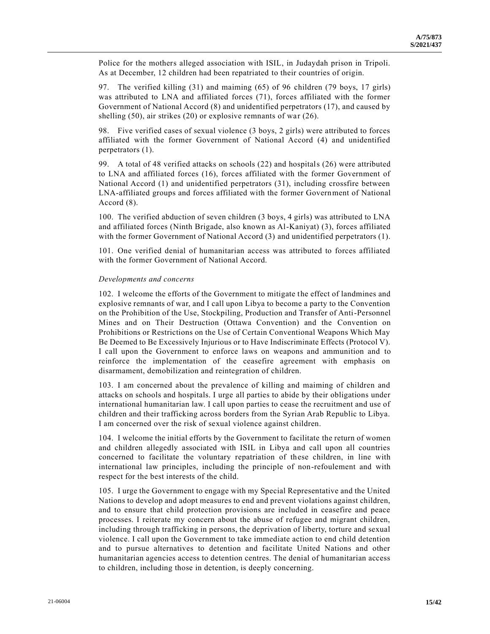Police for the mothers alleged association with ISIL, in Judaydah prison in Tripoli. As at December, 12 children had been repatriated to their countries of origin.

97. The verified killing (31) and maiming (65) of 96 children (79 boys, 17 girls) was attributed to LNA and affiliated forces (71), forces affiliated with the former Government of National Accord (8) and unidentified perpetrators (17), and caused by shelling (50), air strikes (20) or explosive remnants of war (26).

98. Five verified cases of sexual violence (3 boys, 2 girls) were attributed to forces affiliated with the former Government of National Accord (4) and unidentified perpetrators (1).

99. A total of 48 verified attacks on schools (22) and hospitals (26) were attributed to LNA and affiliated forces (16), forces affiliated with the former Government of National Accord (1) and unidentified perpetrators (31), including crossfire between LNA-affiliated groups and forces affiliated with the former Government of National Accord (8).

100. The verified abduction of seven children (3 boys, 4 girls) was attributed to LNA and affiliated forces (Ninth Brigade, also known as Al-Kaniyat) (3), forces affiliated with the former Government of National Accord (3) and unidentified perpetrators (1).

101. One verified denial of humanitarian access was attributed to forces affiliated with the former Government of National Accord.

## *Developments and concerns*

102. I welcome the efforts of the Government to mitigate the effect of landmines and explosive remnants of war, and I call upon Libya to become a party to the Convention on the Prohibition of the Use, Stockpiling, Production and Transfer of Anti-Personnel Mines and on Their Destruction (Ottawa Convention) and the Convention on Prohibitions or Restrictions on the Use of Certain Conventional Weapons Which May Be Deemed to Be Excessively Injurious or to Have Indiscriminate Effects (Protocol V). I call upon the Government to enforce laws on weapons and ammunition and to reinforce the implementation of the ceasefire agreement with emphasis on disarmament, demobilization and reintegration of children.

103. I am concerned about the prevalence of killing and maiming of children and attacks on schools and hospitals. I urge all parties to abide by their obligations under international humanitarian law. I call upon parties to cease the recruitment and use of children and their trafficking across borders from the Syrian Arab Republic to Libya. I am concerned over the risk of sexual violence against children.

104. I welcome the initial efforts by the Government to facilitate the return of women and children allegedly associated with ISIL in Libya and call upon all countries concerned to facilitate the voluntary repatriation of these children, in line with international law principles, including the principle of non-refoulement and with respect for the best interests of the child.

105. I urge the Government to engage with my Special Representative and the United Nations to develop and adopt measures to end and prevent violations against children, and to ensure that child protection provisions are included in ceasefire and peace processes. I reiterate my concern about the abuse of refugee and migrant children, including through trafficking in persons, the deprivation of liberty, torture and sexual violence. I call upon the Government to take immediate action to end child detention and to pursue alternatives to detention and facilitate United Nations and other humanitarian agencies access to detention centres. The denial of humanitarian access to children, including those in detention, is deeply concerning.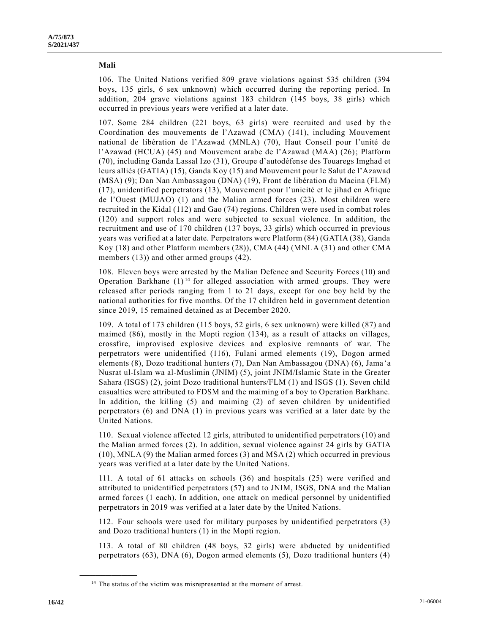## **Mali**

106. The United Nations verified 809 grave violations against 535 children (394 boys, 135 girls, 6 sex unknown) which occurred during the reporting period. In addition, 204 grave violations against 183 children (145 boys, 38 girls) which occurred in previous years were verified at a later date.

107. Some 284 children (221 boys, 63 girls) were recruited and used by th e Coordination des mouvements de l'Azawad (CMA) (141), including Mouvement national de libération de l'Azawad (MNLA) (70), Haut Conseil pour l'unité de l'Azawad (HCUA) (45) and Mouvement arabe de l'Azawad (MAA) (26); Platform (70), including Ganda Lassal Izo (31), Groupe d'autodéfense des Touaregs Imghad et leurs alliés (GATIA) (15), Ganda Koy (15) and Mouvement pour le Salut de l'Azawad (MSA) (9); Dan Nan Ambassagou (DNA) (19), Front de libération du Macina (FLM) (17), unidentified perpetrators (13), Mouvement pour l'unicité et le jihad en Afrique de l'Ouest (MUJAO) (1) and the Malian armed forces (23). Most children were recruited in the Kidal (112) and Gao (74) regions. Children were used in combat roles (120) and support roles and were subjected to sexual violence. In addition, the recruitment and use of 170 children (137 boys, 33 girls) which occurred in previous years was verified at a later date. Perpetrators were Platform (84) (GATIA (38), Ganda Koy (18) and other Platform members (28)), CMA (44) (MNLA (31) and other CMA members (13)) and other armed groups (42).

108. Eleven boys were arrested by the Malian Defence and Security Forces (10) and Operation Barkhane  $(1)^{14}$  for alleged association with armed groups. They were released after periods ranging from 1 to 21 days, except for one boy held by the national authorities for five months. Of the 17 children held in government detention since 2019, 15 remained detained as at December 2020.

109. A total of 173 children (115 boys, 52 girls, 6 sex unknown) were killed (87) and maimed (86), mostly in the Mopti region (134), as a result of attacks on villages, crossfire, improvised explosive devices and explosive remnants of war. The perpetrators were unidentified (116), Fulani armed elements (19), Dogon armed elements (8), Dozo traditional hunters (7), Dan Nan Ambassagou (DNA) (6), Jama 'a Nusrat ul-Islam wa al-Muslimin (JNIM) (5), joint JNIM/Islamic State in the Greater Sahara (ISGS) (2), joint Dozo traditional hunters/FLM (1) and ISGS (1). Seven child casualties were attributed to FDSM and the maiming of a boy to Operation Barkhane. In addition, the killing (5) and maiming (2) of seven children by unidentified perpetrators (6) and DNA (1) in previous years was verified at a later date by the United Nations.

110. Sexual violence affected 12 girls, attributed to unidentified perpetrators (10) and the Malian armed forces (2). In addition, sexual violence against 24 girls by GATIA (10), MNLA (9) the Malian armed forces (3) and MSA (2) which occurred in previous years was verified at a later date by the United Nations.

111. A total of 61 attacks on schools (36) and hospitals (25) were verified and attributed to unidentified perpetrators (57) and to JNIM, ISGS, DNA and the Malian armed forces (1 each). In addition, one attack on medical personnel by unidentified perpetrators in 2019 was verified at a later date by the United Nations.

112. Four schools were used for military purposes by unidentified perpetrators (3) and Dozo traditional hunters (1) in the Mopti region.

113. A total of 80 children (48 boys, 32 girls) were abducted by unidentified perpetrators (63), DNA (6), Dogon armed elements (5), Dozo traditional hunters (4)

<sup>&</sup>lt;sup>14</sup> The status of the victim was misrepresented at the moment of arrest.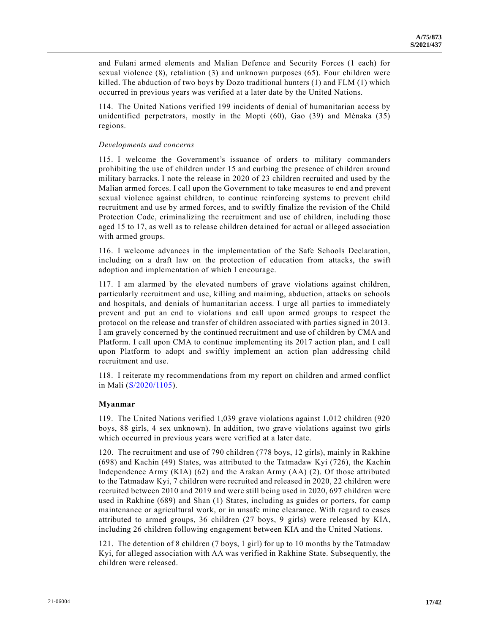and Fulani armed elements and Malian Defence and Security Forces (1 each) for sexual violence (8), retaliation (3) and unknown purposes (65). Four children were killed. The abduction of two boys by Dozo traditional hunters  $(1)$  and FLM  $(1)$  which occurred in previous years was verified at a later date by the United Nations.

114. The United Nations verified 199 incidents of denial of humanitarian access by unidentified perpetrators, mostly in the Mopti (60), Gao (39) and Ménaka (35) regions.

### *Developments and concerns*

115. I welcome the Government's issuance of orders to military commanders prohibiting the use of children under 15 and curbing the presence of children around military barracks. I note the release in 2020 of 23 children recruited and used by the Malian armed forces. I call upon the Government to take measures to end and prevent sexual violence against children, to continue reinforcing systems to prevent child recruitment and use by armed forces, and to swiftly finalize the revision of the Child Protection Code, criminalizing the recruitment and use of children, including those aged 15 to 17, as well as to release children detained for actual or alleged association with armed groups.

116. I welcome advances in the implementation of the Safe Schools Declaration, including on a draft law on the protection of education from attacks, the swift adoption and implementation of which I encourage.

117. I am alarmed by the elevated numbers of grave violations against children, particularly recruitment and use, killing and maiming, abduction, attacks on schools and hospitals, and denials of humanitarian access. I urge all parties to immediately prevent and put an end to violations and call upon armed groups to respect the protocol on the release and transfer of children associated with parties signed in 2013. I am gravely concerned by the continued recruitment and use of children by CMA and Platform. I call upon CMA to continue implementing its 2017 action plan, and I call upon Platform to adopt and swiftly implement an action plan addressing child recruitment and use.

118. I reiterate my recommendations from my report on children and armed conflict in Mali [\(S/2020/1105\)](https://undocs.org/en/S/2020/1105).

## **Myanmar**

119. The United Nations verified 1,039 grave violations against 1,012 children (920 boys, 88 girls, 4 sex unknown). In addition, two grave violations against two girls which occurred in previous years were verified at a later date.

120. The recruitment and use of 790 children (778 boys, 12 girls), mainly in Rakhine (698) and Kachin (49) States, was attributed to the Tatmadaw Kyi (726), the Kachin Independence Army (KIA) (62) and the Arakan Army (AA) (2). Of those attributed to the Tatmadaw Kyi, 7 children were recruited and released in 2020, 22 children were recruited between 2010 and 2019 and were still being used in 2020, 697 children were used in Rakhine (689) and Shan (1) States, including as guides or porters, for camp maintenance or agricultural work, or in unsafe mine clearance. With regard to cases attributed to armed groups, 36 children (27 boys, 9 girls) were released by KIA, including 26 children following engagement between KIA and the United Nations.

121. The detention of 8 children (7 boys, 1 girl) for up to 10 months by the Tatmadaw Kyi, for alleged association with AA was verified in Rakhine State. Subsequently, the children were released.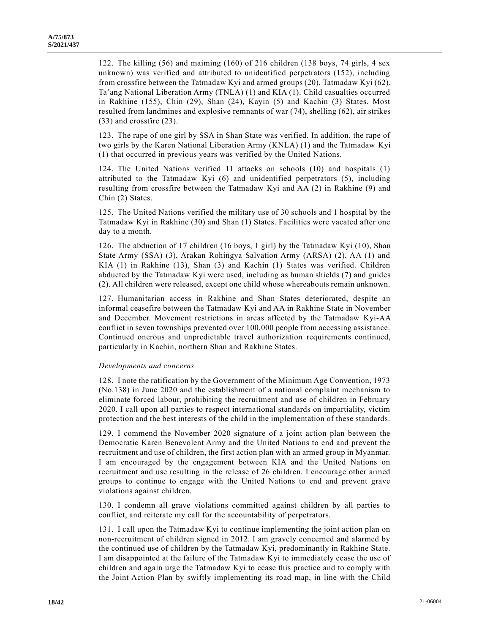122. The killing (56) and maiming (160) of 216 children (138 boys, 74 girls, 4 sex unknown) was verified and attributed to unidentified perpetrators (152), including from crossfire between the Tatmadaw Kyi and armed groups (20), Tatmadaw Kyi (62), Ta'ang National Liberation Army (TNLA) (1) and KIA (1). Child casualties occurred in Rakhine (155), Chin (29), Shan (24), Kayin (5) and Kachin (3) States. Most resulted from landmines and explosive remnants of war (74), shelling (62), air strikes (33) and crossfire (23).

123. The rape of one girl by SSA in Shan State was verified. In addition, the rape of two girls by the Karen National Liberation Army (KNLA) (1) and the Tatmadaw Kyi (1) that occurred in previous years was verified by the United Nations.

124. The United Nations verified 11 attacks on schools (10) and hospitals (1) attributed to the Tatmadaw Kyi (6) and unidentified perpetrators (5), including resulting from crossfire between the Tatmadaw Kyi and AA (2) in Rakhine (9) and Chin (2) States.

125. The United Nations verified the military use of 30 schools and 1 hospital by the Tatmadaw Kyi in Rakhine (30) and Shan (1) States. Facilities were vacated after one day to a month.

126. The abduction of 17 children (16 boys, 1 girl) by the Tatmadaw Kyi (10), Shan State Army (SSA) (3), Arakan Rohingya Salvation Army (ARSA) (2), AA (1) and KIA (1) in Rakhine (13), Shan (3) and Kachin (1) States was verified. Children abducted by the Tatmadaw Kyi were used, including as human shields (7) and guides (2). All children were released, except one child whose whereabouts remain unknown.

127. Humanitarian access in Rakhine and Shan States deteriorated, despite an informal ceasefire between the Tatmadaw Kyi and AA in Rakhine State in November and December. Movement restrictions in areas affected by the Tatmadaw Kyi-AA conflict in seven townships prevented over 100,000 people from accessing assistance. Continued onerous and unpredictable travel authorization requirements continued, particularly in Kachin, northern Shan and Rakhine States.

# *Developments and concerns*

128. I note the ratification by the Government of the Minimum Age Convention, 1973 (No.138) in June 2020 and the establishment of a national complaint mechanism to eliminate forced labour, prohibiting the recruitment and use of children in February 2020. I call upon all parties to respect international standards on impartiality, victim protection and the best interests of the child in the implementation of these standards.

129. I commend the November 2020 signature of a joint action plan between the Democratic Karen Benevolent Army and the United Nations to end and prevent the recruitment and use of children, the first action plan with an armed group in Myanmar. I am encouraged by the engagement between KIA and the United Nations on recruitment and use resulting in the release of 26 children. I encourage other armed groups to continue to engage with the United Nations to end and prevent grave violations against children.

130. I condemn all grave violations committed against children by all parties to conflict, and reiterate my call for the accountability of perpetrators.

131. I call upon the Tatmadaw Kyi to continue implementing the joint action plan on non-recruitment of children signed in 2012. I am gravely concerned and alarmed by the continued use of children by the Tatmadaw Kyi, predominantly in Rakhine State. I am disappointed at the failure of the Tatmadaw Kyi to immediately cease the use of children and again urge the Tatmadaw Kyi to cease this practice and to comply with the Joint Action Plan by swiftly implementing its road map, in line with the Child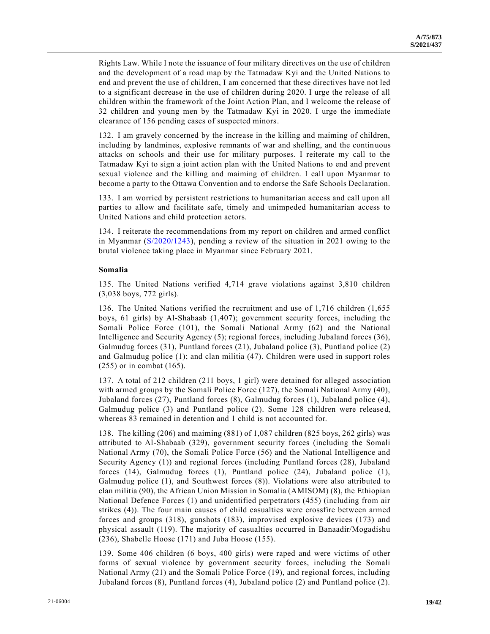Rights Law. While I note the issuance of four military directives on the use of children and the development of a road map by the Tatmadaw Kyi and the United Nations to end and prevent the use of children, I am concerned that these directives have not led to a significant decrease in the use of children during 2020. I urge the release of all children within the framework of the Joint Action Plan, and I welcome the release of 32 children and young men by the Tatmadaw Kyi in 2020. I urge the immediate clearance of 156 pending cases of suspected minors.

132. I am gravely concerned by the increase in the killing and maiming of children, including by landmines, explosive remnants of war and shelling, and the continuous attacks on schools and their use for military purposes. I reiterate my call to the Tatmadaw Kyi to sign a joint action plan with the United Nations to end and prevent sexual violence and the killing and maiming of children. I call upon Myanmar to become a party to the Ottawa Convention and to endorse the Safe Schools Declaration.

133. I am worried by persistent restrictions to humanitarian access and call upon all parties to allow and facilitate safe, timely and unimpeded humanitarian access to United Nations and child protection actors.

134. I reiterate the recommendations from my report on children and armed conflict in Myanmar [\(S/2020/1243\)](https://undocs.org/en/S/2020/1243), pending a review of the situation in 2021 owing to the brutal violence taking place in Myanmar since February 2021.

# **Somalia**

135. The United Nations verified 4,714 grave violations against 3,810 children (3,038 boys, 772 girls).

136. The United Nations verified the recruitment and use of 1,716 children (1,655 boys, 61 girls) by Al-Shabaab (1,407); government security forces, including the Somali Police Force (101), the Somali National Army (62) and the National Intelligence and Security Agency (5); regional forces, including Jubaland forces (36), Galmudug forces (31), Puntland forces (21), Jubaland police (3), Puntland police (2) and Galmudug police (1); and clan militia (47). Children were used in support roles (255) or in combat (165).

137. A total of 212 children (211 boys, 1 girl) were detained for alleged association with armed groups by the Somali Police Force (127), the Somali National Army (40), Jubaland forces (27), Puntland forces (8), Galmudug forces (1), Jubaland police (4), Galmudug police (3) and Puntland police (2). Some 128 children were release d, whereas 83 remained in detention and 1 child is not accounted for.

138. The killing (206) and maiming (881) of 1,087 children (825 boys, 262 girls) was attributed to Al-Shabaab (329), government security forces (including the Somali National Army (70), the Somali Police Force (56) and the National Intelligence and Security Agency (1)) and regional forces (including Puntland forces (28), Jubaland forces (14), Galmudug forces (1), Puntland police (24), Jubaland police (1), Galmudug police (1), and Southwest forces (8)). Violations were also attributed to clan militia (90), the African Union Mission in Somalia (AMISOM) (8), the Ethiopian National Defence Forces (1) and unidentified perpetrators (455) (including from air strikes (4)). The four main causes of child casualties were crossfire between armed forces and groups (318), gunshots (183), improvised explosive devices (173) and physical assault (119). The majority of casualties occurred in Banaadir/Mogadishu (236), Shabelle Hoose (171) and Juba Hoose (155).

139. Some 406 children (6 boys, 400 girls) were raped and were victims of other forms of sexual violence by government security forces, including the Somali National Army (21) and the Somali Police Force (19), and regional forces, including Jubaland forces (8), Puntland forces (4), Jubaland police (2) and Puntland police (2).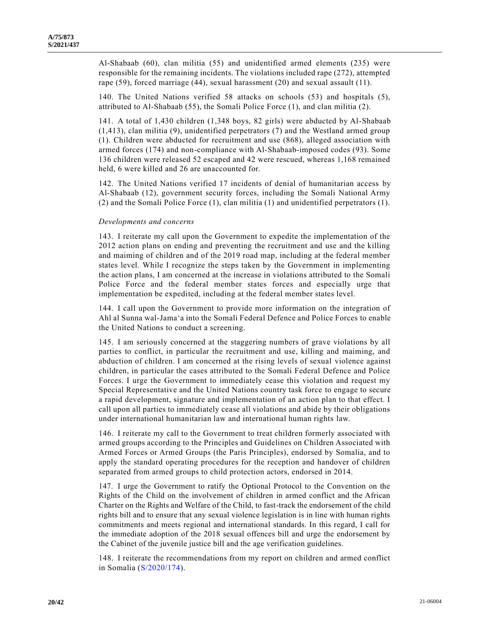Al-Shabaab (60), clan militia (55) and unidentified armed elements (235) were responsible for the remaining incidents. The violations included rape (272), attempted rape (59), forced marriage (44), sexual harassment (20) and sexual assault (11).

140. The United Nations verified 58 attacks on schools (53) and hospitals (5), attributed to Al-Shabaab (55), the Somali Police Force (1), and clan militia (2).

141. A total of 1,430 children (1,348 boys, 82 girls) were abducted by Al-Shabaab (1,413), clan militia (9), unidentified perpetrators (7) and the Westland armed group (1). Children were abducted for recruitment and use (868), alleged association with armed forces (174) and non-compliance with Al-Shabaab-imposed codes (93). Some 136 children were released 52 escaped and 42 were rescued, whereas 1,168 remained held, 6 were killed and 26 are unaccounted for.

142. The United Nations verified 17 incidents of denial of humanitarian access by Al-Shabaab (12), government security forces, including the Somali National Army (2) and the Somali Police Force (1), clan militia (1) and unidentified perpetrators (1).

# *Developments and concerns*

143. I reiterate my call upon the Government to expedite the implementation of the 2012 action plans on ending and preventing the recruitment and use and the killing and maiming of children and of the 2019 road map, including at the federal member states level. While I recognize the steps taken by the Government in implementing the action plans, I am concerned at the increase in violations attributed to the Somali Police Force and the federal member states forces and especially urge that implementation be expedited, including at the federal member states level.

144. I call upon the Government to provide more information on the integration of Ahl al Sunna wal-Jama'a into the Somali Federal Defence and Police Forces to enable the United Nations to conduct a screening.

145. I am seriously concerned at the staggering numbers of grave violations by all parties to conflict, in particular the recruitment and use, killing and maiming, and abduction of children. I am concerned at the rising levels of sexual violence against children, in particular the cases attributed to the Somali Federal Defence and Police Forces. I urge the Government to immediately cease this violation and request my Special Representative and the United Nations country task force to engage to secure a rapid development, signature and implementation of an action plan to that effect. I call upon all parties to immediately cease all violations and abide by their obligations under international humanitarian law and international human rights law.

146. I reiterate my call to the Government to treat children formerly associated with armed groups according to the Principles and Guidelines on Children Associated with Armed Forces or Armed Groups (the Paris Principles), endorsed by Somalia, and to apply the standard operating procedures for the reception and handover of children separated from armed groups to child protection actors, endorsed in 2014.

147. I urge the Government to ratify the Optional Protocol to the Convention on the Rights of the Child on the involvement of children in armed conflict and the African Charter on the Rights and Welfare of the Child, to fast-track the endorsement of the child rights bill and to ensure that any sexual violence legislation is in line with human rights commitments and meets regional and international standards. In this regard, I call for the immediate adoption of the 2018 sexual offences bill and urge the endorsement by the Cabinet of the juvenile justice bill and the age verification guidelines.

148. I reiterate the recommendations from my report on children and armed conflict in Somalia [\(S/2020/174\)](https://undocs.org/en/S/2020/174).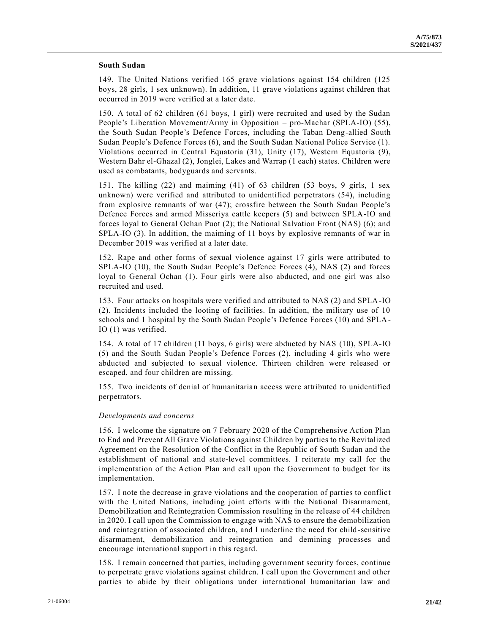### **South Sudan**

149. The United Nations verified 165 grave violations against 154 children (125 boys, 28 girls, 1 sex unknown). In addition, 11 grave violations against children that occurred in 2019 were verified at a later date.

150. A total of 62 children (61 boys, 1 girl) were recruited and used by the Sudan People's Liberation Movement/Army in Opposition – pro-Machar (SPLA-IO) (55), the South Sudan People's Defence Forces, including the Taban Deng-allied South Sudan People's Defence Forces (6), and the South Sudan National Police Service (1). Violations occurred in Central Equatoria (31), Unity (17), Western Equatoria (9), Western Bahr el-Ghazal (2), Jonglei, Lakes and Warrap (1 each) states. Children were used as combatants, bodyguards and servants.

151. The killing (22) and maiming (41) of 63 children (53 boys, 9 girls, 1 sex unknown) were verified and attributed to unidentified perpetrators (54), including from explosive remnants of war (47); crossfire between the South Sudan People's Defence Forces and armed Misseriya cattle keepers (5) and between SPLA-IO and forces loyal to General Ochan Puot (2); the National Salvation Front (NAS) (6); and SPLA-IO (3). In addition, the maiming of 11 boys by explosive remnants of war in December 2019 was verified at a later date.

152. Rape and other forms of sexual violence against 17 girls were attributed to SPLA-IO (10), the South Sudan People's Defence Forces (4), NAS (2) and forces loyal to General Ochan (1). Four girls were also abducted, and one girl was also recruited and used.

153. Four attacks on hospitals were verified and attributed to NAS (2) and SPLA-IO (2). Incidents included the looting of facilities. In addition, the military use of 10 schools and 1 hospital by the South Sudan People's Defence Forces (10) and SPLA-IO (1) was verified.

154. A total of 17 children (11 boys, 6 girls) were abducted by NAS (10), SPLA-IO (5) and the South Sudan People's Defence Forces (2), including 4 girls who were abducted and subjected to sexual violence. Thirteen children were released or escaped, and four children are missing.

155. Two incidents of denial of humanitarian access were attributed to unidentified perpetrators.

## *Developments and concerns*

156. I welcome the signature on 7 February 2020 of the Comprehensive Action Plan to End and Prevent All Grave Violations against Children by parties to the Revitalized Agreement on the Resolution of the Conflict in the Republic of South Sudan and the establishment of national and state-level committees. I reiterate my call for the implementation of the Action Plan and call upon the Government to budget for its implementation.

157. I note the decrease in grave violations and the cooperation of parties to conflic t with the United Nations, including joint efforts with the National Disarmament, Demobilization and Reintegration Commission resulting in the release of 44 children in 2020. I call upon the Commission to engage with NAS to ensure the demobilization and reintegration of associated children, and I underline the need for child -sensitive disarmament, demobilization and reintegration and demining processes and encourage international support in this regard.

158. I remain concerned that parties, including government security forces, continue to perpetrate grave violations against children. I call upon the Government and other parties to abide by their obligations under international humanitarian law and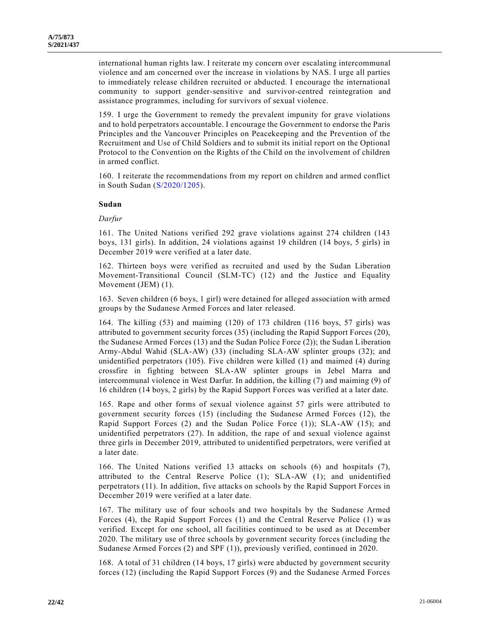international human rights law. I reiterate my concern over escalating intercommunal violence and am concerned over the increase in violations by NAS. I urge all parties to immediately release children recruited or abducted. I encourage the international community to support gender-sensitive and survivor-centred reintegration and assistance programmes, including for survivors of sexual violence.

159. I urge the Government to remedy the prevalent impunity for grave violations and to hold perpetrators accountable. I encourage the Government to endorse the Paris Principles and the Vancouver Principles on Peacekeeping and the Prevention of the Recruitment and Use of Child Soldiers and to submit its initial report on the Optional Protocol to the Convention on the Rights of the Child on the involvement of children in armed conflict.

160. I reiterate the recommendations from my report on children and armed conflict in South Sudan [\(S/2020/1205\)](https://undocs.org/en/S/2020/1205).

#### **Sudan**

### *Darfur*

161. The United Nations verified 292 grave violations against 274 children (143 boys, 131 girls). In addition, 24 violations against 19 children (14 boys, 5 girls) in December 2019 were verified at a later date.

162. Thirteen boys were verified as recruited and used by the Sudan Liberation Movement-Transitional Council (SLM-TC) (12) and the Justice and Equality Movement (JEM) (1).

163. Seven children (6 boys, 1 girl) were detained for alleged association with armed groups by the Sudanese Armed Forces and later released.

164. The killing (53) and maiming (120) of 173 children (116 boys, 57 girls) was attributed to government security forces (35) (including the Rapid Support Forces (20), the Sudanese Armed Forces (13) and the Sudan Police Force (2)); the Sudan Liberation Army-Abdul Wahid (SLA-AW) (33) (including SLA-AW splinter groups (32); and unidentified perpetrators (105). Five children were killed (1) and maimed (4) during crossfire in fighting between SLA-AW splinter groups in Jebel Marra and intercommunal violence in West Darfur. In addition, the killing (7) and maiming (9) of 16 children (14 boys, 2 girls) by the Rapid Support Forces was verified at a later date.

165. Rape and other forms of sexual violence against 57 girls were attributed to government security forces (15) (including the Sudanese Armed Forces (12), the Rapid Support Forces (2) and the Sudan Police Force (1)); SLA-AW (15); and unidentified perpetrators (27). In addition, the rape of and sexual violence against three girls in December 2019, attributed to unidentified perpetrators, were verified at a later date.

166. The United Nations verified 13 attacks on schools (6) and hospitals (7), attributed to the Central Reserve Police (1); SLA-AW (1); and unidentified perpetrators (11). In addition, five attacks on schools by the Rapid Support Forces in December 2019 were verified at a later date.

167. The military use of four schools and two hospitals by the Sudanese Armed Forces (4), the Rapid Support Forces (1) and the Central Reserve Police (1) was verified. Except for one school, all facilities continued to be used as at December 2020. The military use of three schools by government security forces (including the Sudanese Armed Forces (2) and SPF (1)), previously verified, continued in 2020.

168. A total of 31 children (14 boys, 17 girls) were abducted by government security forces (12) (including the Rapid Support Forces (9) and the Sudanese Armed Forces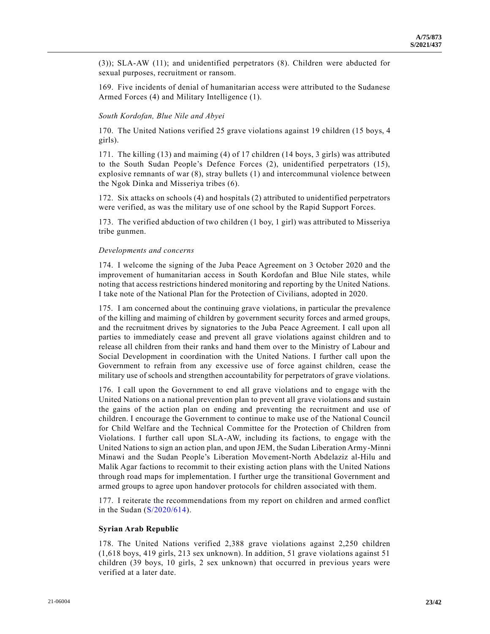(3)); SLA-AW (11); and unidentified perpetrators (8). Children were abducted for sexual purposes, recruitment or ransom.

169. Five incidents of denial of humanitarian access were attributed to the Sudanese Armed Forces (4) and Military Intelligence (1).

## *South Kordofan, Blue Nile and Abyei*

170. The United Nations verified 25 grave violations against 19 children (15 boys, 4 girls).

171. The killing (13) and maiming (4) of 17 children (14 boys, 3 girls) was attributed to the South Sudan People's Defence Forces (2), unidentified perpetrators (15), explosive remnants of war (8), stray bullets (1) and intercommunal violence between the Ngok Dinka and Misseriya tribes (6).

172. Six attacks on schools (4) and hospitals (2) attributed to unidentified perpetrators were verified, as was the military use of one school by the Rapid Support Forces.

173. The verified abduction of two children (1 boy, 1 girl) was attributed to Misseriya tribe gunmen.

#### *Developments and concerns*

174. I welcome the signing of the Juba Peace Agreement on 3 October 2020 and the improvement of humanitarian access in South Kordofan and Blue Nile states, while noting that access restrictions hindered monitoring and reporting by the United Nations. I take note of the National Plan for the Protection of Civilians, adopted in 2020.

175. I am concerned about the continuing grave violations, in particular the prevalence of the killing and maiming of children by government security forces and armed groups, and the recruitment drives by signatories to the Juba Peace Agreement. I call upon all parties to immediately cease and prevent all grave violations against children and to release all children from their ranks and hand them over to the Ministry of Labour and Social Development in coordination with the United Nations. I further call upon the Government to refrain from any excessive use of force against children, cease the military use of schools and strengthen accountability for perpetrators of grave violations.

176. I call upon the Government to end all grave violations and to engage with the United Nations on a national prevention plan to prevent all grave violations and sustain the gains of the action plan on ending and preventing the recruitment and use of children. I encourage the Government to continue to make use of the National Council for Child Welfare and the Technical Committee for the Protection of Children from Violations. I further call upon SLA-AW, including its factions, to engage with the United Nations to sign an action plan, and upon JEM, the Sudan Liberation Army-Minni Minawi and the Sudan People's Liberation Movement-North Abdelaziz al-Hilu and Malik Agar factions to recommit to their existing action plans with the United Nations through road maps for implementation. I further urge the transitional Government and armed groups to agree upon handover protocols for children associated with them.

177. I reiterate the recommendations from my report on children and armed conflict in the Sudan [\(S/2020/614\)](https://undocs.org/en/S/2020/614).

#### **Syrian Arab Republic**

178. The United Nations verified 2,388 grave violations against 2,250 children (1,618 boys, 419 girls, 213 sex unknown). In addition, 51 grave violations against 51 children (39 boys, 10 girls, 2 sex unknown) that occurred in previous years were verified at a later date.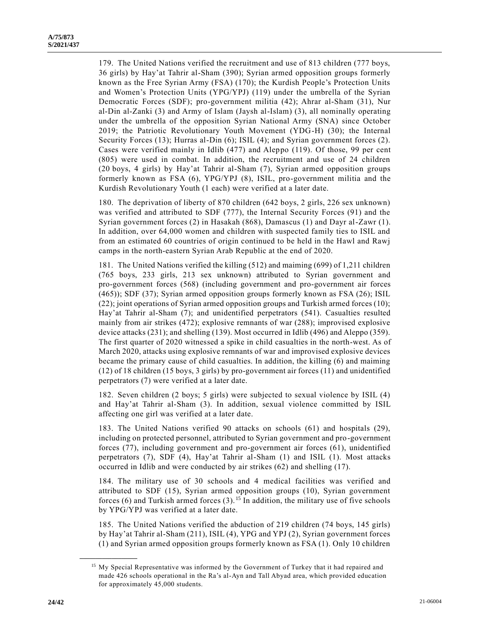179. The United Nations verified the recruitment and use of 813 children (777 boys, 36 girls) by Hay'at Tahrir al-Sham (390); Syrian armed opposition groups formerly known as the Free Syrian Army (FSA) (170); the Kurdish People's Protection Units and Women's Protection Units (YPG/YPJ) (119) under the umbrella of the Syrian Democratic Forces (SDF); pro-government militia (42); Ahrar al-Sham (31), Nur al-Din al-Zanki (3) and Army of Islam (Jaysh al-Islam) (3), all nominally operating under the umbrella of the opposition Syrian National Army (SNA) since October 2019; the Patriotic Revolutionary Youth Movement (YDG-H) (30); the Internal Security Forces (13); Hurras al-Din (6); ISIL (4); and Syrian government forces (2). Cases were verified mainly in Idlib (477) and Aleppo (119). Of those, 99 per cent (805) were used in combat. In addition, the recruitment and use of 24 children (20 boys, 4 girls) by Hay'at Tahrir al-Sham (7), Syrian armed opposition groups formerly known as FSA (6), YPG/YPJ (8), ISIL, pro-government militia and the Kurdish Revolutionary Youth (1 each) were verified at a later date.

180. The deprivation of liberty of 870 children (642 boys, 2 girls, 226 sex unknown) was verified and attributed to SDF (777), the Internal Security Forces (91) and the Syrian government forces (2) in Hasakah (868), Damascus (1) and Dayr al-Zawr (1). In addition, over 64,000 women and children with suspected family ties to ISIL and from an estimated 60 countries of origin continued to be held in the Hawl and Rawj camps in the north-eastern Syrian Arab Republic at the end of 2020.

181. The United Nations verified the killing (512) and maiming (699) of 1,211 children (765 boys, 233 girls, 213 sex unknown) attributed to Syrian government and pro-government forces (568) (including government and pro-government air forces (465)); SDF (37); Syrian armed opposition groups formerly known as FSA (26); ISIL (22); joint operations of Syrian armed opposition groups and Turkish armed forces (10); Hay'at Tahrir al-Sham (7); and unidentified perpetrators (541). Casualties resulted mainly from air strikes (472); explosive remnants of war (288); improvised explosive device attacks (231); and shelling (139). Most occurred in Idlib (496) and Aleppo (359). The first quarter of 2020 witnessed a spike in child casualties in the north-west. As of March 2020, attacks using explosive remnants of war and improvised explosive devices became the primary cause of child casualties. In addition, the killing (6) and maiming (12) of 18 children (15 boys, 3 girls) by pro-government air forces (11) and unidentified perpetrators (7) were verified at a later date.

182. Seven children (2 boys; 5 girls) were subjected to sexual violence by ISIL (4) and Hay'at Tahrir al-Sham (3). In addition, sexual violence committed by ISIL affecting one girl was verified at a later date.

183. The United Nations verified 90 attacks on schools (61) and hospitals (29), including on protected personnel, attributed to Syrian government and pro-government forces (77), including government and pro-government air forces (61), unidentified perpetrators (7), SDF (4), Hay'at Tahrir al-Sham (1) and ISIL (1). Most attacks occurred in Idlib and were conducted by air strikes (62) and shelling (17).

184. The military use of 30 schools and 4 medical facilities was verified and attributed to SDF (15), Syrian armed opposition groups (10), Syrian government forces (6) and Turkish armed forces  $(3)$ . <sup>15</sup> In addition, the military use of five schools by YPG/YPJ was verified at a later date.

185. The United Nations verified the abduction of 219 children (74 boys, 145 girls) by Hay'at Tahrir al-Sham (211), ISIL (4), YPG and YPJ (2), Syrian government forces (1) and Syrian armed opposition groups formerly known as FSA (1). Only 10 children

<sup>&</sup>lt;sup>15</sup> My Special Representative was informed by the Government of Turkey that it had repaired and made 426 schools operational in the Ra's al-Ayn and Tall Abyad area, which provided education for approximately 45,000 students.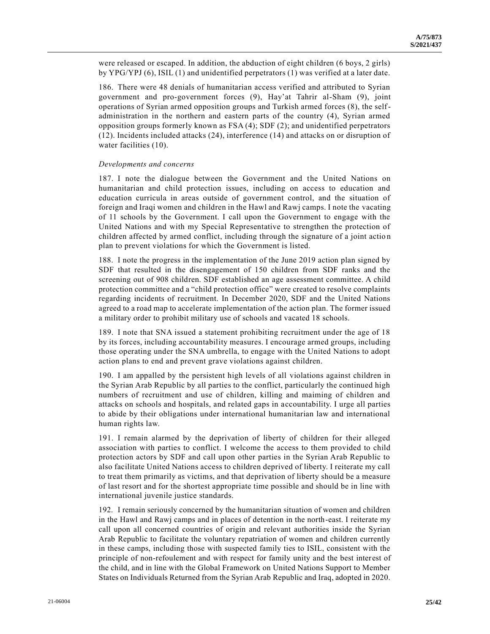were released or escaped. In addition, the abduction of eight children (6 boys, 2 girls) by YPG/YPJ (6), ISIL (1) and unidentified perpetrators (1) was verified at a later date.

186. There were 48 denials of humanitarian access verified and attributed to Syrian government and pro-government forces (9), Hay'at Tahrir al-Sham (9), joint operations of Syrian armed opposition groups and Turkish armed forces (8), the selfadministration in the northern and eastern parts of the country (4), Syrian armed opposition groups formerly known as FSA (4); SDF (2); and unidentified perpetrators (12). Incidents included attacks (24), interference (14) and attacks on or disruption of water facilities (10).

#### *Developments and concerns*

187. I note the dialogue between the Government and the United Nations on humanitarian and child protection issues, including on access to education and education curricula in areas outside of government control, and the situation of foreign and Iraqi women and children in the Hawl and Rawj camps. I note the vacating of 11 schools by the Government. I call upon the Government to engage with the United Nations and with my Special Representative to strengthen the protection of children affected by armed conflict, including through the signature of a joint actio n plan to prevent violations for which the Government is listed.

188. I note the progress in the implementation of the June 2019 action plan signed by SDF that resulted in the disengagement of 150 children from SDF ranks and the screening out of 908 children. SDF established an age assessment committee. A child protection committee and a "child protection office" were created to resolve complaints regarding incidents of recruitment. In December 2020, SDF and the United Nations agreed to a road map to accelerate implementation of the action plan. The former issued a military order to prohibit military use of schools and vacated 18 schools.

189. I note that SNA issued a statement prohibiting recruitment under the age of 18 by its forces, including accountability measures. I encourage armed groups, including those operating under the SNA umbrella, to engage with the United Nations to adopt action plans to end and prevent grave violations against children.

190. I am appalled by the persistent high levels of all violations against children in the Syrian Arab Republic by all parties to the conflict, particularly the continued high numbers of recruitment and use of children, killing and maiming of children and attacks on schools and hospitals, and related gaps in accountability. I urge all parties to abide by their obligations under international humanitarian law and international human rights law.

191. I remain alarmed by the deprivation of liberty of children for their alleged association with parties to conflict. I welcome the access to them provided to child protection actors by SDF and call upon other parties in the Syrian Arab Republic to also facilitate United Nations access to children deprived of liberty. I reiterate my call to treat them primarily as victims, and that deprivation of liberty should be a measure of last resort and for the shortest appropriate time possible and should be in line with international juvenile justice standards.

192. I remain seriously concerned by the humanitarian situation of women and children in the Hawl and Rawj camps and in places of detention in the north-east. I reiterate my call upon all concerned countries of origin and relevant authorities inside the Syrian Arab Republic to facilitate the voluntary repatriation of women and children currently in these camps, including those with suspected family ties to ISIL, consistent with the principle of non-refoulement and with respect for family unity and the best interest of the child, and in line with the Global Framework on United Nations Support to Member States on Individuals Returned from the Syrian Arab Republic and Iraq, adopted in 2020.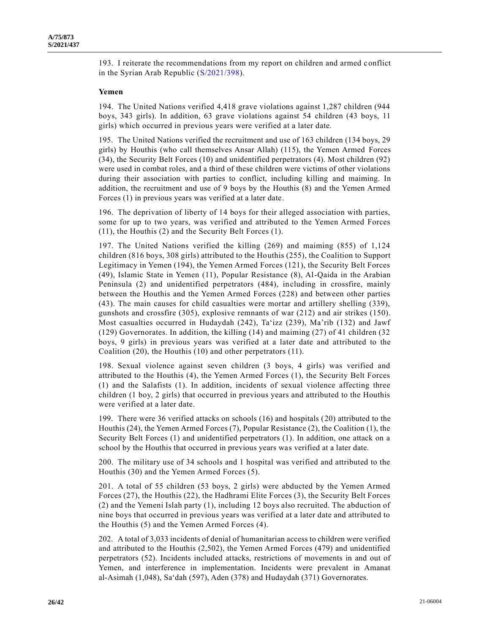193. I reiterate the recommendations from my report on children and armed conflict in the Syrian Arab Republic [\(S/2021/398\)](https://undocs.org/en/S/2021/398).

#### **Yemen**

194. The United Nations verified 4,418 grave violations against 1,287 children (944 boys, 343 girls). In addition, 63 grave violations against 54 children (43 boys, 11 girls) which occurred in previous years were verified at a later date.

195. The United Nations verified the recruitment and use of 163 children (134 boys, 29 girls) by Houthis (who call themselves Ansar Allah) (115), the Yemen Armed Forces (34), the Security Belt Forces (10) and unidentified perpetrators (4). Most children (92) were used in combat roles, and a third of these children were victims of other violations during their association with parties to conflict, including killing and maiming. In addition, the recruitment and use of 9 boys by the Houthis (8) and the Yemen Armed Forces (1) in previous years was verified at a later date.

196. The deprivation of liberty of 14 boys for their alleged association with parties, some for up to two years, was verified and attributed to the Yemen Armed Forces (11), the Houthis (2) and the Security Belt Forces (1).

197. The United Nations verified the killing (269) and maiming (855) of 1,124 children (816 boys, 308 girls) attributed to the Houthis (255), the Coalition to Support Legitimacy in Yemen (194), the Yemen Armed Forces (121), the Security Belt Forces (49), Islamic State in Yemen (11), Popular Resistance (8), Al-Qaida in the Arabian Peninsula (2) and unidentified perpetrators (484), including in crossfire, mainly between the Houthis and the Yemen Armed Forces (228) and between other parties (43). The main causes for child casualties were mortar and artillery shelling (339), gunshots and crossfire (305), explosive remnants of war (212) and air strikes (150). Most casualties occurred in Hudaydah (242), Ta'izz (239), Ma'rib (132) and Jawf (129) Governorates. In addition, the killing (14) and maiming (27) of 41 children (32 boys, 9 girls) in previous years was verified at a later date and attributed to the Coalition (20), the Houthis (10) and other perpetrators (11).

198. Sexual violence against seven children (3 boys, 4 girls) was verified and attributed to the Houthis (4), the Yemen Armed Forces (1), the Security Belt Forces (1) and the Salafists (1). In addition, incidents of sexual violence affecting three children (1 boy, 2 girls) that occurred in previous years and attributed to the Houthis were verified at a later date.

199. There were 36 verified attacks on schools (16) and hospitals (20) attributed to the Houthis (24), the Yemen Armed Forces (7), Popular Resistance (2), the Coalition (1), the Security Belt Forces (1) and unidentified perpetrators (1). In addition, one attack on a school by the Houthis that occurred in previous years was verified at a later date.

200. The military use of 34 schools and 1 hospital was verified and attributed to the Houthis (30) and the Yemen Armed Forces (5).

201. A total of 55 children (53 boys, 2 girls) were abducted by the Yemen Armed Forces (27), the Houthis (22), the Hadhrami Elite Forces (3), the Security Belt Forces (2) and the Yemeni Islah party (1), including 12 boys also recruited. The abduction of nine boys that occurred in previous years was verified at a later date and attributed to the Houthis (5) and the Yemen Armed Forces (4).

202. A total of 3,033 incidents of denial of humanitarian access to children were verified and attributed to the Houthis (2,502), the Yemen Armed Forces (479) and unidentified perpetrators (52). Incidents included attacks, restrictions of movements in and out of Yemen, and interference in implementation. Incidents were prevalent in Amanat al-Asimah (1,048), Sa'dah (597), Aden (378) and Hudaydah (371) Governorates.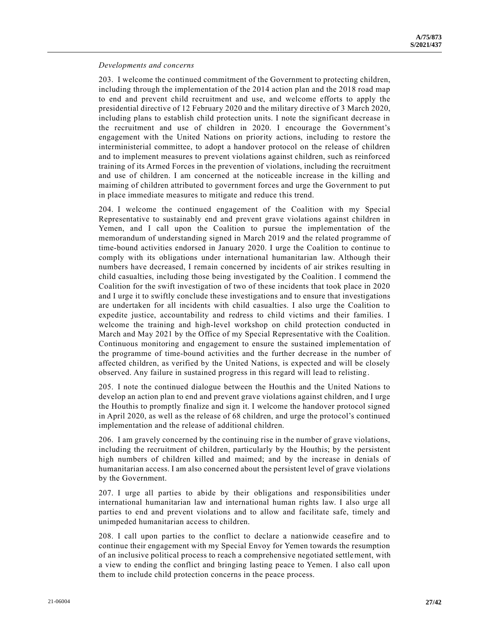#### *Developments and concerns*

203. I welcome the continued commitment of the Government to protecting children, including through the implementation of the 2014 action plan and the 2018 road map to end and prevent child recruitment and use, and welcome efforts to apply the presidential directive of 12 February 2020 and the military directive of 3 March 2020, including plans to establish child protection units. I note the significant decrease in the recruitment and use of children in 2020. I encourage the Government's engagement with the United Nations on priority actions, including to restore the interministerial committee, to adopt a handover protocol on the release of children and to implement measures to prevent violations against children, such as reinforced training of its Armed Forces in the prevention of violations, including the recruitment and use of children. I am concerned at the noticeable increase in the killing and maiming of children attributed to government forces and urge the Government to put in place immediate measures to mitigate and reduce this trend.

204. I welcome the continued engagement of the Coalition with my Special Representative to sustainably end and prevent grave violations against children in Yemen, and I call upon the Coalition to pursue the implementation of the memorandum of understanding signed in March 2019 and the related programme of time-bound activities endorsed in January 2020. I urge the Coalition to continue to comply with its obligations under international humanitarian law. Although their numbers have decreased, I remain concerned by incidents of air strikes resulting in child casualties, including those being investigated by the Coalition. I commend the Coalition for the swift investigation of two of these incidents that took place in 2020 and I urge it to swiftly conclude these investigations and to ensure that investigations are undertaken for all incidents with child casualties. I also urge the Coalition to expedite justice, accountability and redress to child victims and their families. I welcome the training and high-level workshop on child protection conducted in March and May 2021 by the Office of my Special Representative with the Coalition. Continuous monitoring and engagement to ensure the sustained implementation of the programme of time-bound activities and the further decrease in the number of affected children, as verified by the United Nations, is expected and will be closely observed. Any failure in sustained progress in this regard will lead to relisting .

205. I note the continued dialogue between the Houthis and the United Nations to develop an action plan to end and prevent grave violations against children, and I urge the Houthis to promptly finalize and sign it. I welcome the handover protocol signed in April 2020, as well as the release of 68 children, and urge the protocol's continued implementation and the release of additional children.

206. I am gravely concerned by the continuing rise in the number of grave violations, including the recruitment of children, particularly by the Houthis; by the persistent high numbers of children killed and maimed; and by the increase in denials of humanitarian access. I am also concerned about the persistent level of grave violations by the Government.

207. I urge all parties to abide by their obligations and responsibilities under international humanitarian law and international human rights law. I also urge all parties to end and prevent violations and to allow and facilitate safe, timely and unimpeded humanitarian access to children.

208. I call upon parties to the conflict to declare a nationwide ceasefire and to continue their engagement with my Special Envoy for Yemen towards the resumption of an inclusive political process to reach a comprehensive negotiated settlement, with a view to ending the conflict and bringing lasting peace to Yemen. I also call upon them to include child protection concerns in the peace process.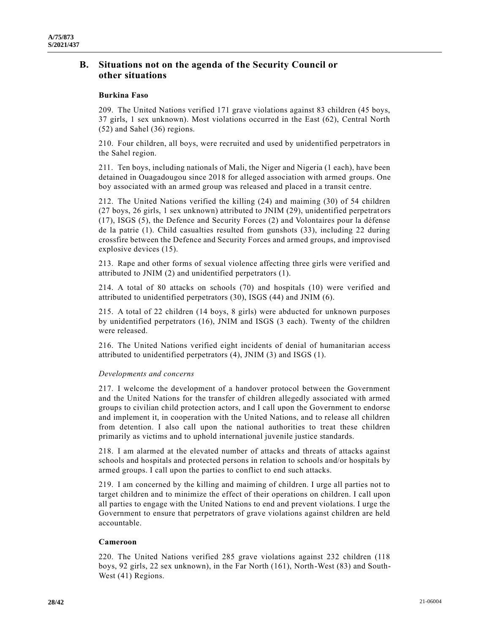# **B. Situations not on the agenda of the Security Council or other situations**

# **Burkina Faso**

209. The United Nations verified 171 grave violations against 83 children (45 boys, 37 girls, 1 sex unknown). Most violations occurred in the East (62), Central North (52) and Sahel (36) regions.

210. Four children, all boys, were recruited and used by unidentified perpetrators in the Sahel region.

211. Ten boys, including nationals of Mali, the Niger and Nigeria (1 each), have been detained in Ouagadougou since 2018 for alleged association with armed groups. One boy associated with an armed group was released and placed in a transit centre.

212. The United Nations verified the killing (24) and maiming (30) of 54 children (27 boys, 26 girls, 1 sex unknown) attributed to JNIM (29), unidentified perpetrat ors (17), ISGS (5), the Defence and Security Forces (2) and Volontaires pour la défense de la patrie (1). Child casualties resulted from gunshots (33), including 22 during crossfire between the Defence and Security Forces and armed groups, and improvised explosive devices (15).

213. Rape and other forms of sexual violence affecting three girls were verified and attributed to JNIM (2) and unidentified perpetrators (1).

214. A total of 80 attacks on schools (70) and hospitals (10) were verified and attributed to unidentified perpetrators (30), ISGS (44) and JNIM (6).

215. A total of 22 children (14 boys, 8 girls) were abducted for unknown purposes by unidentified perpetrators (16), JNIM and ISGS (3 each). Twenty of the children were released.

216. The United Nations verified eight incidents of denial of humanitarian access attributed to unidentified perpetrators (4), JNIM (3) and ISGS (1).

# *Developments and concerns*

217. I welcome the development of a handover protocol between the Government and the United Nations for the transfer of children allegedly associated with armed groups to civilian child protection actors, and I call upon the Government to endorse and implement it, in cooperation with the United Nations, and to release all children from detention. I also call upon the national authorities to treat these children primarily as victims and to uphold international juvenile justice standards.

218. I am alarmed at the elevated number of attacks and threats of attacks against schools and hospitals and protected persons in relation to schools and/or hospitals by armed groups. I call upon the parties to conflict to end such attacks.

219. I am concerned by the killing and maiming of children. I urge all parties not to target children and to minimize the effect of their operations on children. I call upon all parties to engage with the United Nations to end and prevent violations. I urge the Government to ensure that perpetrators of grave violations against children are held accountable.

## **Cameroon**

220. The United Nations verified 285 grave violations against 232 children (118 boys, 92 girls, 22 sex unknown), in the Far North (161), North-West (83) and South-West (41) Regions.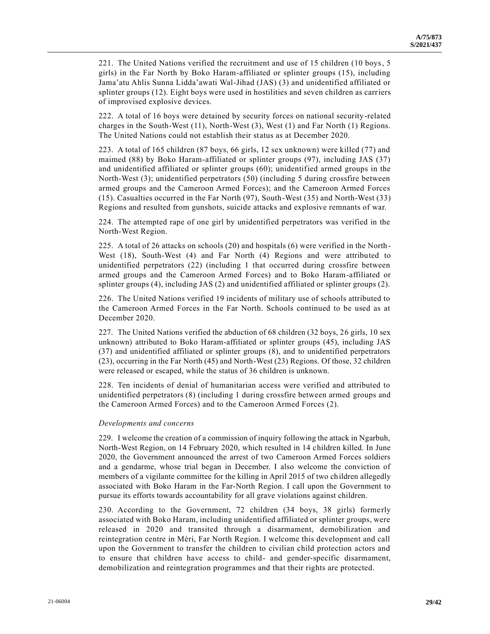221. The United Nations verified the recruitment and use of 15 children (10 boys, 5 girls) in the Far North by Boko Haram-affiliated or splinter groups (15), including Jama'atu Ahlis Sunna Lidda'awati Wal-Jihad (JAS) (3) and unidentified affiliated or splinter groups (12). Eight boys were used in hostilities and seven children as carriers of improvised explosive devices.

222. A total of 16 boys were detained by security forces on national security-related charges in the South-West (11), North-West (3), West (1) and Far North (1) Regions. The United Nations could not establish their status as at December 2020.

223. A total of 165 children (87 boys, 66 girls, 12 sex unknown) were killed (77) and maimed (88) by Boko Haram-affiliated or splinter groups (97), including JAS (37) and unidentified affiliated or splinter groups (60); unidentified armed groups in the North-West (3); unidentified perpetrators (50) (including 5 during crossfire between armed groups and the Cameroon Armed Forces); and the Cameroon Armed Forces (15). Casualties occurred in the Far North (97), South-West (35) and North-West (33) Regions and resulted from gunshots, suicide attacks and explosive remnants of war.

224. The attempted rape of one girl by unidentified perpetrators was verified in the North-West Region.

225. A total of 26 attacks on schools (20) and hospitals (6) were verified in the North-West (18), South-West (4) and Far North (4) Regions and were attributed to unidentified perpetrators (22) (including 1 that occurred during crossfire between armed groups and the Cameroon Armed Forces) and to Boko Haram-affiliated or splinter groups (4), including JAS (2) and unidentified affiliated or splinter groups (2).

226. The United Nations verified 19 incidents of military use of schools attributed to the Cameroon Armed Forces in the Far North. Schools continued to be used as at December 2020.

227. The United Nations verified the abduction of 68 children (32 boys, 26 girls, 10 sex unknown) attributed to Boko Haram-affiliated or splinter groups (45), including JAS (37) and unidentified affiliated or splinter groups (8), and to unidentified perpetrators (23), occurring in the Far North (45) and North-West (23) Regions. Of those, 32 children were released or escaped, while the status of 36 children is unknown.

228. Ten incidents of denial of humanitarian access were verified and attributed to unidentified perpetrators (8) (including 1 during crossfire between armed groups and the Cameroon Armed Forces) and to the Cameroon Armed Forces (2).

## *Developments and concerns*

229. I welcome the creation of a commission of inquiry following the attack in Ngarbuh, North-West Region, on 14 February 2020, which resulted in 14 children killed. In June 2020, the Government announced the arrest of two Cameroon Armed Forces soldiers and a gendarme, whose trial began in December. I also welcome the conviction of members of a vigilante committee for the killing in April 2015 of two children allegedly associated with Boko Haram in the Far-North Region. I call upon the Government to pursue its efforts towards accountability for all grave violations against children.

230. According to the Government, 72 children (34 boys, 38 girls) formerly associated with Boko Haram, including unidentified affiliated or splinter groups, were released in 2020 and transited through a disarmament, demobilization and reintegration centre in Méri, Far North Region. I welcome this development and call upon the Government to transfer the children to civilian child protection actors and to ensure that children have access to child- and gender-specific disarmament, demobilization and reintegration programmes and that their rights are protected.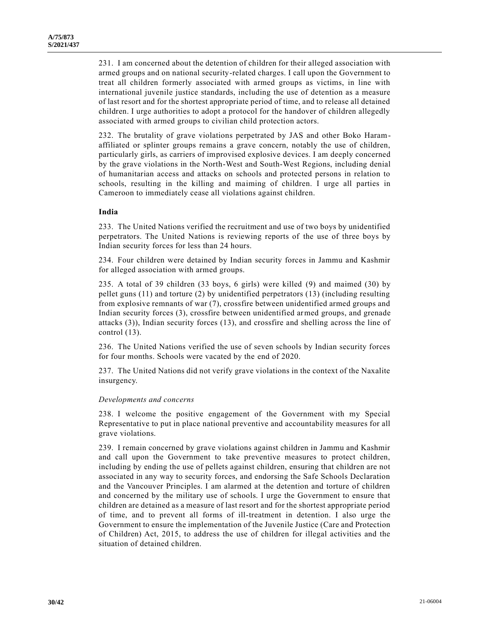231. I am concerned about the detention of children for their alleged association with armed groups and on national security-related charges. I call upon the Government to treat all children formerly associated with armed groups as victims, in line with international juvenile justice standards, including the use of detention as a measure of last resort and for the shortest appropriate period of time, and to release all detained children. I urge authorities to adopt a protocol for the handover of children allegedly associated with armed groups to civilian child protection actors.

232. The brutality of grave violations perpetrated by JAS and other Boko Haramaffiliated or splinter groups remains a grave concern, notably the use of children, particularly girls, as carriers of improvised explosive devices. I am deeply concerned by the grave violations in the North-West and South-West Regions, including denial of humanitarian access and attacks on schools and protected persons in relation to schools, resulting in the killing and maiming of children. I urge all parties in Cameroon to immediately cease all violations against children.

# **India**

233. The United Nations verified the recruitment and use of two boys by unidentified perpetrators. The United Nations is reviewing reports of the use of three boys by Indian security forces for less than 24 hours.

234. Four children were detained by Indian security forces in Jammu and Kashmir for alleged association with armed groups.

235. A total of 39 children (33 boys, 6 girls) were killed (9) and maimed (30) by pellet guns (11) and torture (2) by unidentified perpetrators (13) (including resulting from explosive remnants of war (7), crossfire between unidentified armed groups and Indian security forces (3), crossfire between unidentified armed groups, and grenade attacks (3)), Indian security forces (13), and crossfire and shelling across the line of control (13).

236. The United Nations verified the use of seven schools by Indian security forces for four months. Schools were vacated by the end of 2020.

237. The United Nations did not verify grave violations in the context of the Naxalite insurgency.

## *Developments and concerns*

238. I welcome the positive engagement of the Government with my Special Representative to put in place national preventive and accountability measures for all grave violations.

239. I remain concerned by grave violations against children in Jammu and Kashmir and call upon the Government to take preventive measures to protect children, including by ending the use of pellets against children, ensuring that children are not associated in any way to security forces, and endorsing the Safe Schools Declaration and the Vancouver Principles. I am alarmed at the detention and torture of children and concerned by the military use of schools. I urge the Government to ensure that children are detained as a measure of last resort and for the shortest appropriate period of time, and to prevent all forms of ill-treatment in detention. I also urge the Government to ensure the implementation of the Juvenile Justice (Care and Protection of Children) Act, 2015, to address the use of children for illegal activities and the situation of detained children.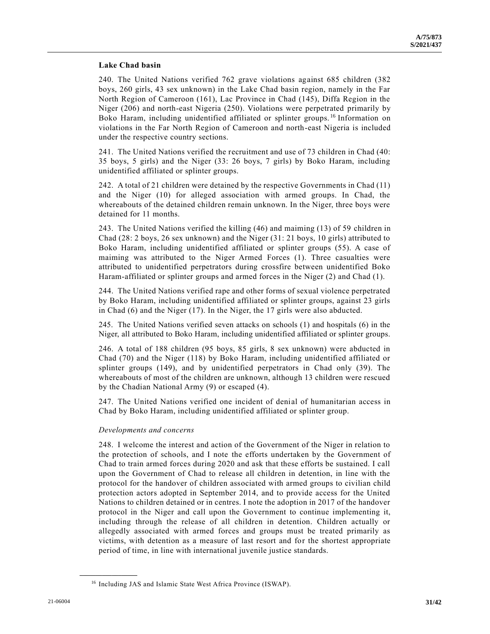# **Lake Chad basin**

240. The United Nations verified 762 grave violations against 685 children (382 boys, 260 girls, 43 sex unknown) in the Lake Chad basin region, namely in the Far North Region of Cameroon (161), Lac Province in Chad (145), Diffa Region in the Niger (206) and north-east Nigeria (250). Violations were perpetrated primarily by Boko Haram, including unidentified affiliated or splinter groups.<sup>16</sup> Information on violations in the Far North Region of Cameroon and north-east Nigeria is included under the respective country sections.

241. The United Nations verified the recruitment and use of 73 children in Chad (40: 35 boys, 5 girls) and the Niger (33: 26 boys, 7 girls) by Boko Haram, including unidentified affiliated or splinter groups.

242. A total of 21 children were detained by the respective Governments in Chad (11) and the Niger (10) for alleged association with armed groups. In Chad, the whereabouts of the detained children remain unknown. In the Niger, three boys were detained for 11 months.

243. The United Nations verified the killing (46) and maiming (13) of 59 children in Chad (28: 2 boys, 26 sex unknown) and the Niger (31: 21 boys, 10 girls) attributed to Boko Haram, including unidentified affiliated or splinter groups (55). A case of maiming was attributed to the Niger Armed Forces (1). Three casualties were attributed to unidentified perpetrators during crossfire between unidentified Boko Haram-affiliated or splinter groups and armed forces in the Niger (2) and Chad (1).

244. The United Nations verified rape and other forms of sexual violence perpetrated by Boko Haram, including unidentified affiliated or splinter groups, against 23 girls in Chad (6) and the Niger (17). In the Niger, the 17 girls were also abducted.

245. The United Nations verified seven attacks on schools (1) and hospitals (6) in the Niger, all attributed to Boko Haram, including unidentified affiliated or splinter groups.

246. A total of 188 children (95 boys, 85 girls, 8 sex unknown) were abducted in Chad (70) and the Niger (118) by Boko Haram, including unidentified affiliated or splinter groups (149), and by unidentified perpetrators in Chad only (39). The whereabouts of most of the children are unknown, although 13 children were rescued by the Chadian National Army (9) or escaped (4).

247. The United Nations verified one incident of denial of humanitarian access in Chad by Boko Haram, including unidentified affiliated or splinter group.

## *Developments and concerns*

248. I welcome the interest and action of the Government of the Niger in relation to the protection of schools, and I note the efforts undertaken by the Government of Chad to train armed forces during 2020 and ask that these efforts be sustained. I call upon the Government of Chad to release all children in detention, in line with the protocol for the handover of children associated with armed groups to civilian child protection actors adopted in September 2014, and to provide access for the United Nations to children detained or in centres. I note the adoption in 2017 of the handover protocol in the Niger and call upon the Government to continue implementing it, including through the release of all children in detention. Children actually or allegedly associated with armed forces and groups must be treated primarily as victims, with detention as a measure of last resort and for the shortest appropriate period of time, in line with international juvenile justice standards.

<sup>16</sup> Including JAS and Islamic State West Africa Province (ISWAP).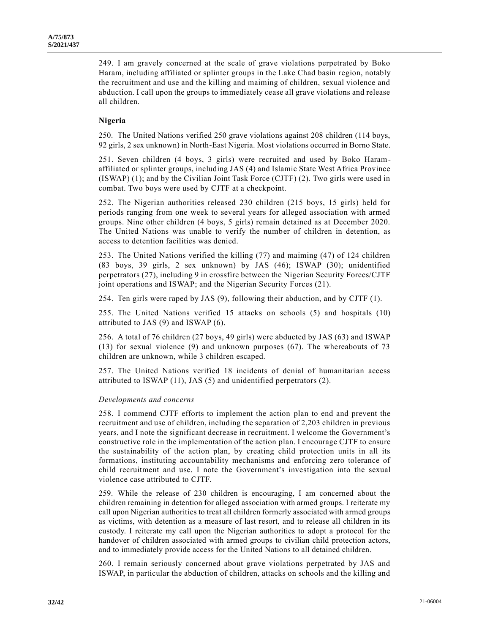249. I am gravely concerned at the scale of grave violations perpetrated by Boko Haram, including affiliated or splinter groups in the Lake Chad basin region, notably the recruitment and use and the killing and maiming of children, sexual violence and abduction. I call upon the groups to immediately cease all grave violations and release all children.

## **Nigeria**

250. The United Nations verified 250 grave violations against 208 children (114 boys, 92 girls, 2 sex unknown) in North-East Nigeria. Most violations occurred in Borno State.

251. Seven children (4 boys, 3 girls) were recruited and used by Boko Haramaffiliated or splinter groups, including JAS (4) and Islamic State West Africa Province (ISWAP) (1); and by the Civilian Joint Task Force (CJTF) (2). Two girls were used in combat. Two boys were used by CJTF at a checkpoint.

252. The Nigerian authorities released 230 children (215 boys, 15 girls) held for periods ranging from one week to several years for alleged association with armed groups. Nine other children (4 boys, 5 girls) remain detained as at December 2020. The United Nations was unable to verify the number of children in detention, as access to detention facilities was denied.

253. The United Nations verified the killing (77) and maiming (47) of 124 children (83 boys, 39 girls, 2 sex unknown) by JAS (46); ISWAP (30); unidentified perpetrators (27), including 9 in crossfire between the Nigerian Security Forces/CJTF joint operations and ISWAP; and the Nigerian Security Forces (21).

254. Ten girls were raped by JAS (9), following their abduction, and by CJTF (1).

255. The United Nations verified 15 attacks on schools (5) and hospitals (10) attributed to JAS (9) and ISWAP (6).

256. A total of 76 children (27 boys, 49 girls) were abducted by JAS (63) and ISWAP (13) for sexual violence (9) and unknown purposes (67). The whereabouts of 73 children are unknown, while 3 children escaped.

257. The United Nations verified 18 incidents of denial of humanitarian access attributed to ISWAP (11), JAS (5) and unidentified perpetrators (2).

## *Developments and concerns*

258. I commend CJTF efforts to implement the action plan to end and prevent the recruitment and use of children, including the separation of 2,203 children in previous years, and I note the significant decrease in recruitment. I welcome the Government's constructive role in the implementation of the action plan. I encourage CJTF to ensure the sustainability of the action plan, by creating child protection units in all its formations, instituting accountability mechanisms and enforcing zero tolerance of child recruitment and use. I note the Government's investigation into the sexual violence case attributed to CJTF.

259. While the release of 230 children is encouraging, I am concerned about the children remaining in detention for alleged association with armed groups. I reiterate my call upon Nigerian authorities to treat all children formerly associated with armed groups as victims, with detention as a measure of last resort, and to release all children in its custody. I reiterate my call upon the Nigerian authorities to adopt a protocol for the handover of children associated with armed groups to civilian child protection actors, and to immediately provide access for the United Nations to all detained children.

260. I remain seriously concerned about grave violations perpetrated by JAS and ISWAP, in particular the abduction of children, attacks on schools and the killing and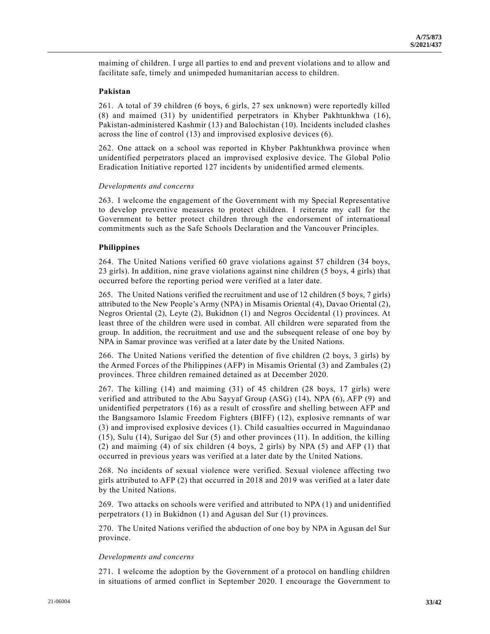maiming of children. I urge all parties to end and prevent violations and to allow and facilitate safe, timely and unimpeded humanitarian access to children.

# **Pakistan**

261. A total of 39 children (6 boys, 6 girls, 27 sex unknown) were reportedly killed (8) and maimed (31) by unidentified perpetrators in Khyber Pakhtunkhwa (16), Pakistan-administered Kashmir (13) and Balochistan (10). Incidents included clashes across the line of control (13) and improvised explosive devices (6).

262. One attack on a school was reported in Khyber Pakhtunkhwa province when unidentified perpetrators placed an improvised explosive device. The Global Polio Eradication Initiative reported 127 incidents by unidentified armed elements.

#### *Developments and concerns*

263. I welcome the engagement of the Government with my Special Representative to develop preventive measures to protect children. I reiterate my call for the Government to better protect children through the endorsement of international commitments such as the Safe Schools Declaration and the Vancouver Principles.

#### **Philippines**

264. The United Nations verified 60 grave violations against 57 children (34 boys, 23 girls). In addition, nine grave violations against nine children (5 boys, 4 girls) that occurred before the reporting period were verified at a later date.

265. The United Nations verified the recruitment and use of 12 children (5 boys, 7 girls) attributed to the New People's Army (NPA) in Misamis Oriental (4), Davao Oriental (2), Negros Oriental (2), Leyte (2), Bukidnon (1) and Negros Occidental (1) provinces. At least three of the children were used in combat. All children were separated from the group. In addition, the recruitment and use and the subsequent release of one boy by NPA in Samar province was verified at a later date by the United Nations.

266. The United Nations verified the detention of five children (2 boys, 3 girls) by the Armed Forces of the Philippines (AFP) in Misamis Oriental (3) and Zambales (2) provinces. Three children remained detained as at December 2020.

267. The killing (14) and maiming (31) of 45 children (28 boys, 17 girls) were verified and attributed to the Abu Sayyaf Group (ASG) (14), NPA (6), AFP (9) and unidentified perpetrators (16) as a result of crossfire and shelling between AFP and the Bangsamoro Islamic Freedom Fighters (BIFF) (12), explosive remnants of war (3) and improvised explosive devices (1). Child casualties occurred in Maguindanao (15), Sulu (14), Surigao del Sur (5) and other provinces (11). In addition, the killing (2) and maiming (4) of six children (4 boys, 2 girls) by NPA (5) and AFP (1) that occurred in previous years was verified at a later date by the United Nations.

268. No incidents of sexual violence were verified. Sexual violence affecting two girls attributed to AFP (2) that occurred in 2018 and 2019 was verified at a later date by the United Nations.

269. Two attacks on schools were verified and attributed to NPA (1) and unidentified perpetrators (1) in Bukidnon (1) and Agusan del Sur (1) provinces.

270. The United Nations verified the abduction of one boy by NPA in Agusan del Sur province.

#### *Developments and concerns*

271. I welcome the adoption by the Government of a protocol on handling children in situations of armed conflict in September 2020. I encourage the Government to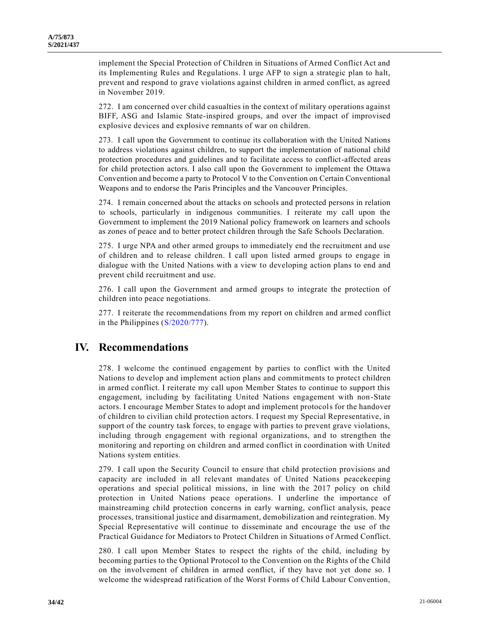implement the Special Protection of Children in Situations of Armed Conflict Act and its Implementing Rules and Regulations. I urge AFP to sign a strategic plan to halt, prevent and respond to grave violations against children in armed conflict, as agreed in November 2019.

272. I am concerned over child casualties in the context of military operations against BIFF, ASG and Islamic State-inspired groups, and over the impact of improvised explosive devices and explosive remnants of war on children.

273. I call upon the Government to continue its collaboration with the United Nations to address violations against children, to support the implementation of national child protection procedures and guidelines and to facilitate access to conflict-affected areas for child protection actors. I also call upon the Government to implement the Ottawa Convention and become a party to Protocol V to the Convention on Certain Conventional Weapons and to endorse the Paris Principles and the Vancouver Principles.

274. I remain concerned about the attacks on schools and protected persons in relation to schools, particularly in indigenous communities. I reiterate my call upon the Government to implement the 2019 National policy framework on learners and schools as zones of peace and to better protect children through the Safe Schools Declaration.

275. I urge NPA and other armed groups to immediately end the recruitment and use of children and to release children. I call upon listed armed groups to engage in dialogue with the United Nations with a view to developing action plans to end and prevent child recruitment and use.

276. I call upon the Government and armed groups to integrate the protection of children into peace negotiations.

277. I reiterate the recommendations from my report on children and armed conflict in the Philippines [\(S/2020/777\)](https://undocs.org/en/S/2020/777).

# **IV. Recommendations**

278. I welcome the continued engagement by parties to conflict with the United Nations to develop and implement action plans and commitments to protect children in armed conflict. I reiterate my call upon Member States to continue to support this engagement, including by facilitating United Nations engagement with non-State actors. I encourage Member States to adopt and implement protocols for the handover of children to civilian child protection actors. I request my Special Representative, in support of the country task forces, to engage with parties to prevent grave violations, including through engagement with regional organizations, and to strengthen the monitoring and reporting on children and armed conflict in coordination with United Nations system entities.

279. I call upon the Security Council to ensure that child protection provisions and capacity are included in all relevant mandates of United Nations peacekeeping operations and special political missions, in line with the 2017 policy on child protection in United Nations peace operations. I underline the importance of mainstreaming child protection concerns in early warning, conflict analysis, peace processes, transitional justice and disarmament, demobilization and reintegration. My Special Representative will continue to disseminate and encourage the use of the Practical Guidance for Mediators to Protect Children in Situations of Armed Conflict.

280. I call upon Member States to respect the rights of the child, including by becoming parties to the Optional Protocol to the Convention on the Rights of the Child on the involvement of children in armed conflict, if they have not yet done so. I welcome the widespread ratification of the Worst Forms of Child Labour Convention,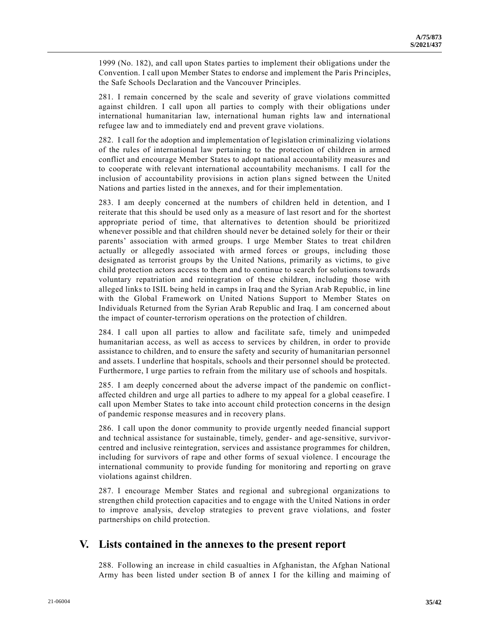1999 (No. 182), and call upon States parties to implement their obligations under the Convention. I call upon Member States to endorse and implement the Paris Principles, the Safe Schools Declaration and the Vancouver Principles.

281. I remain concerned by the scale and severity of grave violations committed against children. I call upon all parties to comply with their obligations under international humanitarian law, international human rights law and international refugee law and to immediately end and prevent grave violations.

282. I call for the adoption and implementation of legislation criminalizing violations of the rules of international law pertaining to the protection of children in armed conflict and encourage Member States to adopt national accountability measures and to cooperate with relevant international accountability mechanisms. I call for the inclusion of accountability provisions in action plans signed between the United Nations and parties listed in the annexes, and for their implementation.

283. I am deeply concerned at the numbers of children held in detention, and I reiterate that this should be used only as a measure of last resort and for the shortest appropriate period of time, that alternatives to detention should be prioritized whenever possible and that children should never be detained solely for their or their parents' association with armed groups. I urge Member States to treat children actually or allegedly associated with armed forces or groups, including those designated as terrorist groups by the United Nations, primarily as victims, to give child protection actors access to them and to continue to search for solutions towards voluntary repatriation and reintegration of these children, including those with alleged links to ISIL being held in camps in Iraq and the Syrian Arab Republic, in line with the Global Framework on United Nations Support to Member States on Individuals Returned from the Syrian Arab Republic and Iraq. I am concerned about the impact of counter-terrorism operations on the protection of children.

284. I call upon all parties to allow and facilitate safe, timely and unimpeded humanitarian access, as well as access to services by children, in order to provide assistance to children, and to ensure the safety and security of humanitarian personnel and assets. I underline that hospitals, schools and their personnel should be protected. Furthermore, I urge parties to refrain from the military use of schools and hospitals.

285. I am deeply concerned about the adverse impact of the pandemic on conflictaffected children and urge all parties to adhere to my appeal for a global ceasefire. I call upon Member States to take into account child protection concerns in the design of pandemic response measures and in recovery plans.

286. I call upon the donor community to provide urgently needed financial support and technical assistance for sustainable, timely, gender- and age-sensitive, survivorcentred and inclusive reintegration, services and assistance programmes for children, including for survivors of rape and other forms of sexual violence. I encourage the international community to provide funding for monitoring and reporting on grave violations against children.

287. I encourage Member States and regional and subregional organizations to strengthen child protection capacities and to engage with the United Nations in order to improve analysis, develop strategies to prevent grave violations, and foster partnerships on child protection.

# **V. Lists contained in the annexes to the present report**

288. Following an increase in child casualties in Afghanistan, the Afghan National Army has been listed under section B of annex I for the killing and maiming of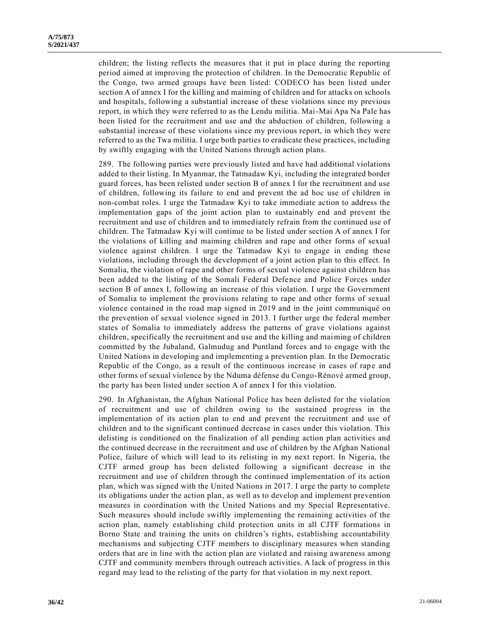children; the listing reflects the measures that it put in place during the reporting period aimed at improving the protection of children. In the Democratic Republic of the Congo, two armed groups have been listed: CODECO has been listed under section A of annex I for the killing and maiming of children and for attacks on schools and hospitals, following a substantial increase of these violations since my previous report, in which they were referred to as the Lendu militia. Mai-Mai Apa Na Pale has been listed for the recruitment and use and the abduction of children, following a substantial increase of these violations since my previous report, in which they were referred to as the Twa militia. I urge both parties to eradicate these practices, including by swiftly engaging with the United Nations through action plans.

289. The following parties were previously listed and have had additional violations added to their listing. In Myanmar, the Tatmadaw Kyi, including the integrated border guard forces, has been relisted under section B of annex I for the recruitment and use of children, following its failure to end and prevent the ad hoc use of children in non-combat roles. I urge the Tatmadaw Kyi to take immediate action to address the implementation gaps of the joint action plan to sustainably end and prevent the recruitment and use of children and to immediately refrain from the continued use of children. The Tatmadaw Kyi will continue to be listed under section A of annex I for the violations of killing and maiming children and rape and other forms of sexual violence against children. I urge the Tatmadaw Kyi to engage in ending these violations, including through the development of a joint action plan to this effect. In Somalia, the violation of rape and other forms of sexual violence against children has been added to the listing of the Somali Federal Defence and Police Forces under section B of annex I, following an increase of this violation. I urge the Government of Somalia to implement the provisions relating to rape and other forms of sexual violence contained in the road map signed in 2019 and in the joint communiqué on the prevention of sexual violence signed in 2013. I further urge the federal member states of Somalia to immediately address the patterns of grave violations against children, specifically the recruitment and use and the killing and maiming of children committed by the Jubaland, Galmudug and Puntland forces and to engage with the United Nations in developing and implementing a prevention plan. In the Democratic Republic of the Congo, as a result of the continuous increase in cases of rape and other forms of sexual violence by the Nduma défense du Congo-Rénové armed group, the party has been listed under section A of annex I for this violation.

290. In Afghanistan, the Afghan National Police has been delisted for the violation of recruitment and use of children owing to the sustained progress in the implementation of its action plan to end and prevent the recruitment and use of children and to the significant continued decrease in cases under this violation. This delisting is conditioned on the finalization of all pending action plan activities and the continued decrease in the recruitment and use of children by the Afghan National Police, failure of which will lead to its relisting in my next report. In Nigeria, the CJTF armed group has been delisted following a significant decrease in the recruitment and use of children through the continued implementation of its action plan, which was signed with the United Nations in 2017. I urge the party to complete its obligations under the action plan, as well as to develop and implement prevention measures in coordination with the United Nations and my Special Representative. Such measures should include swiftly implementing the remaining activities of the action plan, namely establishing child protection units in all CJTF formations in Borno State and training the units on children's rights, establishing accountability mechanisms and subjecting CJTF members to disciplinary measures when standing orders that are in line with the action plan are violated and raising awareness among CJTF and community members through outreach activities. A lack of progress in this regard may lead to the relisting of the party for that violation in my next report.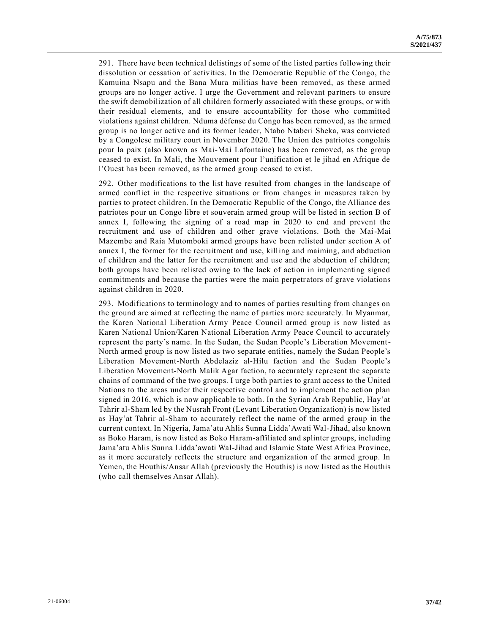291. There have been technical delistings of some of the listed parties following their dissolution or cessation of activities. In the Democratic Republic of the Congo, the Kamuina Nsapu and the Bana Mura militias have been removed, as these armed groups are no longer active. I urge the Government and relevant partners to ensure the swift demobilization of all children formerly associated with these groups, or with their residual elements, and to ensure accountability for those who committed violations against children. Nduma défense du Congo has been removed, as the armed group is no longer active and its former leader, Ntabo Ntaberi Sheka, was convicted by a Congolese military court in November 2020. The Union des patriotes congolais pour la paix (also known as Mai-Mai Lafontaine) has been removed, as the group ceased to exist. In Mali, the Mouvement pour l'unification et le jihad en Afrique de l'Ouest has been removed, as the armed group ceased to exist.

292. Other modifications to the list have resulted from changes in the landscape of armed conflict in the respective situations or from changes in measures taken by parties to protect children. In the Democratic Republic of the Congo, the Alliance des patriotes pour un Congo libre et souverain armed group will be listed in section B of annex I, following the signing of a road map in 2020 to end and prevent the recruitment and use of children and other grave violations. Both the Mai-Mai Mazembe and Raia Mutomboki armed groups have been relisted under section A of annex I, the former for the recruitment and use, killing and maiming, and abduction of children and the latter for the recruitment and use and the abduction of children; both groups have been relisted owing to the lack of action in implementing signed commitments and because the parties were the main perpetrators of grave violations against children in 2020.

293. Modifications to terminology and to names of parties resulting from changes on the ground are aimed at reflecting the name of parties more accurately. In Myanmar, the Karen National Liberation Army Peace Council armed group is now listed as Karen National Union/Karen National Liberation Army Peace Council to accurately represent the party's name. In the Sudan, the Sudan People's Liberation Movement-North armed group is now listed as two separate entities, namely the Sudan People's Liberation Movement-North Abdelaziz al-Hilu faction and the Sudan People's Liberation Movement-North Malik Agar faction, to accurately represent the separate chains of command of the two groups. I urge both parties to grant access to the United Nations to the areas under their respective control and to implement the action plan signed in 2016, which is now applicable to both. In the Syrian Arab Republic, Hay'at Tahrir al-Sham led by the Nusrah Front (Levant Liberation Organization) is now listed as Hay'at Tahrir al-Sham to accurately reflect the name of the armed group in the current context. In Nigeria, Jama'atu Ahlis Sunna Lidda'Awati Wal-Jihad, also known as Boko Haram, is now listed as Boko Haram-affiliated and splinter groups, including Jama'atu Ahlis Sunna Lidda'awati Wal-Jihad and Islamic State West Africa Province, as it more accurately reflects the structure and organization of the armed group. In Yemen, the Houthis/Ansar Allah (previously the Houthis) is now listed as the Houthis (who call themselves Ansar Allah).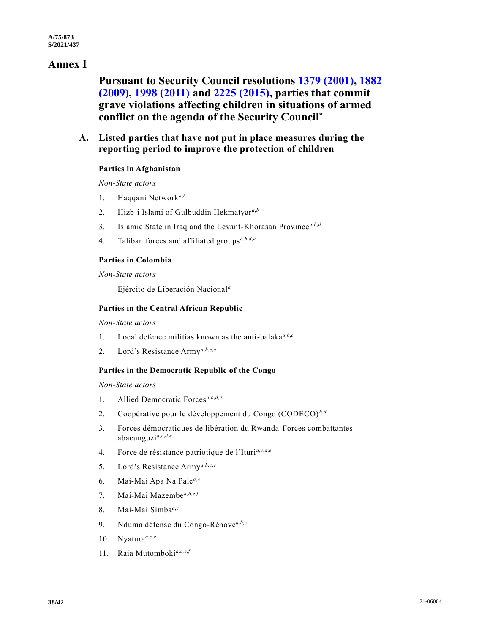# **Annex I**

**Pursuant to Security Council resolutions [1379 \(2001\),](https://undocs.org/en/S/RES/1379(2001)) [1882](https://undocs.org/en/S/RES/1882(2009))  [\(2009\),](https://undocs.org/en/S/RES/1882(2009)) [1998 \(2011\)](https://undocs.org/en/S/RES/1998(2011)) and [2225 \(2015\),](https://undocs.org/en/S/RES/2225(2015)) parties that commit grave violations affecting children in situations of armed conflict on the agenda of the Security Council**\*

# **A. Listed parties that have not put in place measures during the reporting period to improve the protection of children**

# **Parties in Afghanistan**

*Non-State actors*

- 1. Haqqani Network*<sup>a</sup>*,*<sup>b</sup>*
- 2. Hizb-i Islami of Gulbuddin Hekmatyar*<sup>a</sup>*,*<sup>b</sup>*
- 3. Islamic State in Iraq and the Levant-Khorasan Province*<sup>a</sup>*,*b*,*<sup>d</sup>*
- 4. Taliban forces and affiliated groups*<sup>a</sup>*,*b*,*d*,*<sup>e</sup>*

## **Parties in Colombia**

*Non-State actors*

Ejército de Liberación Nacional*<sup>a</sup>*

## **Parties in the Central African Republic**

*Non-State actors*

- 1. Local defence militias known as the anti-balaka*<sup>a</sup>*,*b*,*<sup>c</sup>*
- 2. Lord's Resistance Army*<sup>a</sup>*,*b*,*c*,*<sup>e</sup>*

# **Parties in the Democratic Republic of the Congo**

*Non-State actors*

- 1. Allied Democratic Forces*<sup>a</sup>*,*b*,*d*,*<sup>e</sup>*
- 2. Coopérative pour le développement du Congo (CODECO) *<sup>b</sup>*,*<sup>d</sup>*
- 3. Forces démocratiques de libération du Rwanda-Forces combattantes abacunguzi*<sup>a</sup>*,*c*,*d*,*<sup>e</sup>*
- 4. Force de résistance patriotique de l'Ituri*<sup>a</sup>*,*c*,*d*,*<sup>e</sup>*
- 5. Lord's Resistance Army*<sup>a</sup>*,*b*,*c*,*<sup>e</sup>*
- 6. Mai-Mai Apa Na Pale*<sup>a</sup>*,*<sup>e</sup>*
- 7. Mai-Mai Mazembe*<sup>a</sup>*,*b*,*e*,*<sup>f</sup>*
- 8. Mai-Mai Simba*<sup>a</sup>*,*<sup>c</sup>*
- 9. Nduma défense du Congo-Rénové*<sup>a</sup>*,*b,c*
- 10. Nyatura<sup>a,c,e</sup>
- 11. Raia Mutomboki*a,c,e,f*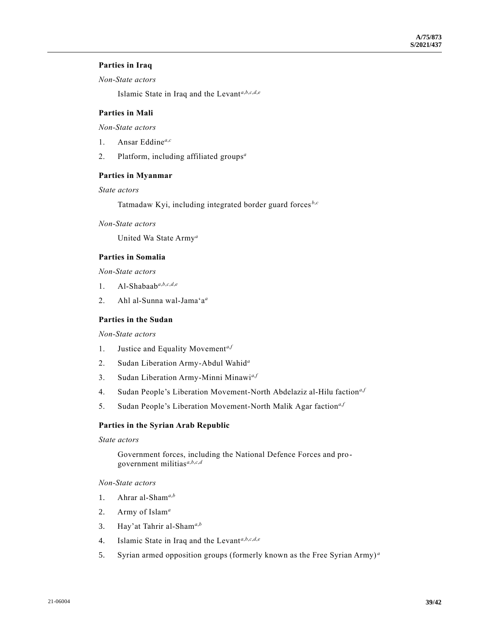# **Parties in Iraq**

*Non-State actors*

Islamic State in Iraq and the Levant*<sup>a</sup>*,*b*,*c*,*d*,*<sup>e</sup>*

# **Parties in Mali**

*Non-State actors*

- 1. Ansar Eddine*<sup>a</sup>*,*<sup>c</sup>*
- 2. Platform, including affiliated groups*<sup>a</sup>*

# **Parties in Myanmar**

## *State actors*

Tatmadaw Kyi, including integrated border guard forces *<sup>b</sup>*,*<sup>c</sup>*

*Non-State actors*

United Wa State Army*<sup>a</sup>*

# **Parties in Somalia**

*Non-State actors*

- 1. Al-Shabaab<sup>a,b,c,d,e</sup>
- 2. Ahl al-Sunna wal-Jama'a*<sup>a</sup>*

# **Parties in the Sudan**

*Non-State actors*

- 1. Justice and Equality Movement*<sup>a</sup>*,*<sup>f</sup>*
- 2. Sudan Liberation Army-Abdul Wahid*<sup>a</sup>*
- 3. Sudan Liberation Army-Minni Minawi*<sup>a</sup>*,*<sup>f</sup>*
- 4. Sudan People's Liberation Movement-North Abdelaziz al-Hilu faction*<sup>a</sup>*,*<sup>f</sup>*
- 5. Sudan People's Liberation Movement-North Malik Agar faction*<sup>a</sup>*,*<sup>f</sup>*

## **Parties in the Syrian Arab Republic**

# *State actors*

Government forces, including the National Defence Forces and progovernment militias*<sup>a</sup>*,*b*,*c*,*<sup>d</sup>*

# *Non-State actors*

- 1. Ahrar al-Sham*<sup>a</sup>*,*<sup>b</sup>*
- 2. Army of Islam*<sup>a</sup>*
- 3. Hay'at Tahrir al-Sham*<sup>a</sup>*,*<sup>b</sup>*
- 4. Islamic State in Iraq and the Levant*<sup>a</sup>*,*b*,*c*,*d*,*<sup>e</sup>*
- 5. Syrian armed opposition groups (formerly known as the Free Syrian Army) *<sup>a</sup>*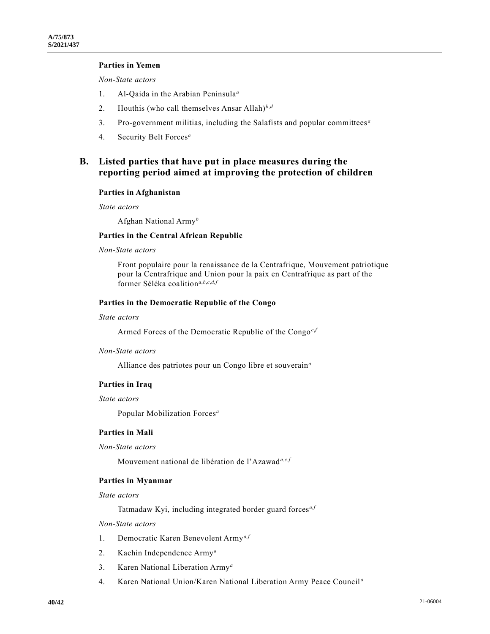# **Parties in Yemen**

*Non-State actors*

- 1. Al-Qaida in the Arabian Peninsula*<sup>a</sup>*
- 2. Houthis (who call themselves Ansar Allah)*<sup>b</sup>*,*<sup>d</sup>*
- 3. Pro-government militias, including the Salafists and popular committees *<sup>a</sup>*
- 4. Security Belt Forces*<sup>a</sup>*

# **B. Listed parties that have put in place measures during the reporting period aimed at improving the protection of children**

#### **Parties in Afghanistan**

*State actors*

Afghan National Army*<sup>b</sup>*

## **Parties in the Central African Republic**

# *Non-State actors*

Front populaire pour la renaissance de la Centrafrique, Mouvement patriotique pour la Centrafrique and Union pour la paix en Centrafrique as part of the former Séléka coalition*<sup>a</sup>*,*b*,*c*,*d*,*<sup>f</sup>*

## **Parties in the Democratic Republic of the Congo**

#### *State actors*

Armed Forces of the Democratic Republic of the Congo*<sup>c</sup>*,*<sup>f</sup>*

#### *Non-State actors*

Alliance des patriotes pour un Congo libre et souverain*<sup>a</sup>*

### **Parties in Iraq**

#### *State actors*

Popular Mobilization Forces*<sup>a</sup>*

# **Parties in Mali**

### *Non-State actors*

Mouvement national de libération de l'Azawad*<sup>a</sup>*,*c*,*<sup>f</sup>*

#### **Parties in Myanmar**

*State actors*

Tatmadaw Kyi, including integrated border guard forces*a,f*

# *Non-State actors*

- 1. Democratic Karen Benevolent Army*a,f*
- 2. Kachin Independence Army*<sup>a</sup>*
- 3. Karen National Liberation Army*<sup>a</sup>*
- 4. Karen National Union/Karen National Liberation Army Peace Council *<sup>a</sup>*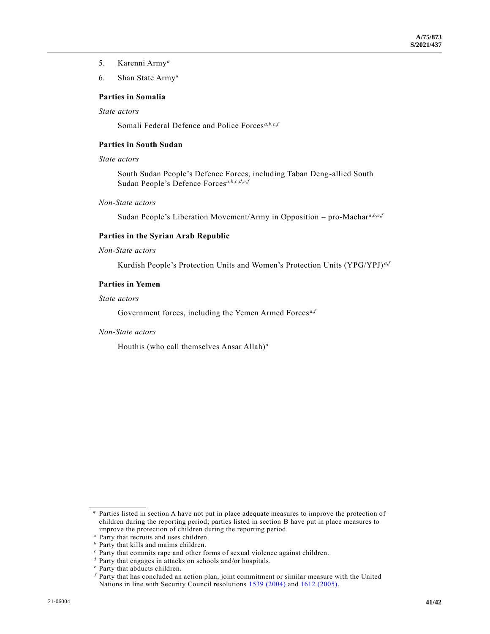- 5. Karenni Army*<sup>a</sup>*
- 6. Shan State Army*<sup>a</sup>*

# **Parties in Somalia**

*State actors*

Somali Federal Defence and Police Forces<sup>a,b,c,f</sup>

# **Parties in South Sudan**

# *State actors*

South Sudan People's Defence Forces, including Taban Deng-allied South Sudan People's Defence Forces*<sup>a</sup>*,*b*,*c*,*d*,*e*,*<sup>f</sup>*

*Non-State actors*

Sudan People's Liberation Movement/Army in Opposition – pro-Machar*<sup>a</sup>*,*b*,*e*,*<sup>f</sup>*

# **Parties in the Syrian Arab Republic**

## *Non-State actors*

Kurdish People's Protection Units and Women's Protection Units (YPG/YPJ) *<sup>a</sup>*,*<sup>f</sup>*

# **Parties in Yemen**

#### *State actors*

Government forces, including the Yemen Armed Forces<sup>a,*f*</sup>

## *Non-State actors*

Houthis (who call themselves Ansar Allah)*<sup>a</sup>*

<sup>\*</sup> Parties listed in section A have not put in place adequate measures to improve the protection of children during the reporting period; parties listed in section B have put in place measures to improve the protection of children during the reporting period.

*<sup>a</sup>* Party that recruits and uses children.

*<sup>b</sup>* Party that kills and maims children.

*<sup>c</sup>* Party that commits rape and other forms of sexual violence against children.

*<sup>d</sup>* Party that engages in attacks on schools and/or hospitals.

*<sup>e</sup>* Party that abducts children.

*<sup>f</sup>* Party that has concluded an action plan, joint commitment or similar measure with the United Nations in line with Security Council resolutions [1539 \(2004\)](https://undocs.org/en/S/RES/1539(2004)) and [1612 \(2005\).](https://undocs.org/en/S/RES/1612(2005))